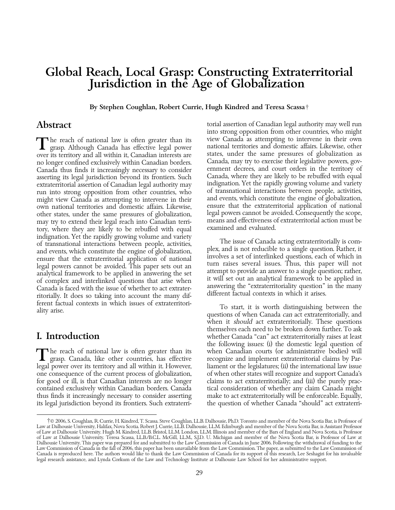## Global Reach, Local Grasp: Constructing Extraterritorial Jurisdiction in the Age of Globalization

By Stephen Coughlan, Robert Currie, Hugh Kindred and Teresa Scassa†

over its territory and all within it, Canadian interests are states, under the same pressures of globalization as<br>no longer confined exclusively within Canadian borders. Canada, may try to exercise their legislative powers no longer confined exclusively within Canadian borders. Canada, may try to exercise their legislative powers, gov-Canada thus finds it increasingly necessary to consider ernment decrees, and court orders in the territory of asserting its legal jurisdiction beyond its frontiers. Such Canada, where they are likely to be rebuffed with eq asserting its legal jurisdiction beyond its frontiers. Such extraterritorial assertion of Canadian legal authority may indignation. Yet the rapidly growing volume and variety<br>run into strong opposition from other countries, who of transnational interactions between people, activiti run into strong opposition from other countries, who bet transnational interactions between people, activities, <br>might view Canada as attempting to intervene in their and events, which constitute the engine of globalizatio might view Canada as attempting to intervene in their own national territories and domestic affairs. Likewise, ensure that the extraterritorial application of national<br>other states, under the same pressures of globalization. legal powers cannot be avoided. Consequently the sc other states, under the same pressures of globalization, legal powers cannot be avoided. Consequently the scope,<br>may try to extend their legal reach into Canadian terri- means and effectiveness of extraterritorial action m may try to extend their legal reach into Canadian terri-<br>tory where they are likely to be rebuffed with equal action must be examined and evaluated. tory, where they are likely to be rebuffed with equal indignation. Yet the rapidly growing volume and variety<br>of transnational interactions between people, activities,<br>and events, which constitute the engine of globalization,<br>the sum of canada acting extraterritorially is com ferent factual contexts in which issues of extraterritori-<br>ality arise.<br>questions of when Canada *can* act extraterritorially, and<br>questions of when Canada *can* act extraterritorially, and

one consequence of the current process of globalization, of when other states will recognize and support Canada's for good or ill, is that Canadian interests are no longer claims to act extraterritorially; and (iii) the purely praccontained exclusively within Canadian borders. Canada tical consideration of whether any claim Canada might its legal jurisdiction beyond its frontiers. Such extraterri-

 $\Delta\text{bstract}$  torial assertion of Canadian legal authority may well run into strong opposition from other countries, who might The reach of national law is often greater than its view Canada as attempting to intervene in their own Tgrasp. Although Canada has effective legal power national territories and domestic affairs. Likewise, other over its

when it should act extraterritorially. These questions themselves each need to be broken down further. To ask **I. Introduction** whether Canada "can" act extraterritorially raises at least the following issues: (i) the domestic legal question of The reach of national law is often greater than its when Canadian courts (or administrative bodies) will recognize and implement extraterritorial claims by Par-<br>legal power over its territory and all within it. However, li liament or the legislatures; (ii) the international law issue thus finds it increasingly necessary to consider asserting make to act extraterritorially will be enforceable. Equally,

<sup>†</sup>© 2006, S. Coughlan, R. Currie, H. Kindred, T. Scassa. Steve Coughlan, LL.B. Dalhousie, Ph.D. Toronto and member of the Nova Scotia Bar, is Professor of Law at Dalhousie University, Halifax, Nova Scotia. Robert J. Currie, LL.B. Dalhousie, LL.M. Edinburgh and member of the Nova Scotia Bar, is Assistant Professor of Law at Dalhousie University. Hugh M. Kindred, LL.B. Bristol, LL.M. London, LL.M. Illinois and member of the Bars of England and Nova Scotia, is Professor of Law at Dalhousie University. Teresa Scassa, LL.B./B.C.L. McGill, LL.M., S.J.D. U. Michigan and member of the Nova Scotia Bar, is Professor of Law at Dalhousie University. This paper was prepared for and submitted to the Law Commission of Canada in June 2006. Following the withdrawal of funding to the Law Commission of Canada in the fall of 2006, this paper has been unavailable from the Law Commission. The paper, as submitted to the Law Commission of Canada is reproduced here. The authors would like to thank the Law Commission of Canada for its support of this research, Lee Seshagiri for his invaluable legal research assistance, and Lynda Corkum of the Law and Technology Institute at Dalhousie Law School for her administrative support.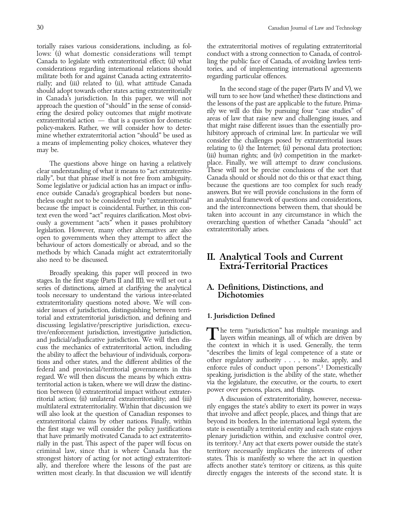lows: (i) what domestic considerations will tempt conduct with a strong connection to Canada, of control-Canada to legislate with extraterritorial effect; (ii) what ling the public face of Canada, of avoiding lawless terriconsiderations regarding international relations should tories, and of implementing international agreements militate both for and against Canada acting extraterrito- regarding particular offences. rially; and (iii) related to (ii), what attitude Canada<br>should adopt towards other states acting extraterritorially<br>in Canada's jurisdiction. In this paper, we will not<br>approach the question of "should" in the sense of con policy-makers. Rather, we will consider how to deter-<br>mine whether extraterritorial action "should" be used as hibitory approach of criminal law. In particular we will<br>a means of implementing policy choices whatever they c a means of implementing policy choices, whatever they may be. **relating** to (i) the Internet; (ii) personal data protection;

clear understanding of what it means to "act extraterrito-<br>
rially", but that phrase itself is not free from ambiguity. Canada should or should not do this or that exact thing, rially'', but that phrase itself is not free from ambiguity. Canada should or should not do this or that exact thing, Some legislative or judicial action has an impact or influ- because the questions are too complex for such ready ence outside Canada's geographical borders but none- answers. But we will provide conclusions in the form of<br>theless ought not to be considered truly "extraterritorial" an analytical framework of questions and consideratio theless ought not to be considered truly "extraterritorial" an analytical framework of questions and considerations,<br>because the impact is coincidental. Further, in this con-and the interconnections between them, that shou because the impact is coincidental. Further, in this con-<br>text even the word "act" requires clarification. Most obvi-<br>taken into account in any circumstance in which the text even the word "act" requires clarification. Most obvi-<br>
ously a government "acts" when it passes prohibitory overarching question of whether Canada "should" act ously a government "acts" when it passes prohibitory overarching question of legislation. However, many other alternatives are also canada extraterritorially arises. legislation. However, many other alternatives are also open to governments when they attempt to affect the behaviour of actors domestically or abroad, and so the

Broadly speaking, this paper will proceed in two stages. In the first stage (Parts II and III), we will set out a series of distinctions, aimed at clarifying the analytical **A. Definitions, Distinctions, and** tools necessary to understand the various inter-related **Dichotomies** tools necessary to understand the various inter-related extraterritoriality questions noted above. We will consider issues of jurisdiction, distinguishing between terri-<br>torial and extraterritorial jurisdiction, and defining and **1. Jurisdiction Defined** discussing legislative/prescriptive jurisdiction, execu-<br>tive/enforcement jurisdiction, investigative jurisdiction,<br>and judicial/adjudicative jurisdiction. We will then dis-<br>cuss the mechanics of extraterritorial action, i cuss the mechanics of extraterritorial action, including the context in which it is used. Generally, the term<br>the ability to affect the behaviour of individuals corpora- "describes the limits of legal competence of a state the ability to affect the behaviour of individuals, corpora-<br>tions and other states, and the different abilities of the<br>federal and provincial/territorial governments in this<br>regard. We will then discuss the means by which ritorial action; (ii) unilateral extraterritoriality; and (iii) A discussion of extraterritoriality, however, necessamultilateral extraterritoriality. Within that discussion we rily engages the state's ability to exert its power in ways<br>will also look at the question of Canadian responses to that involve and affect people, places, and th will also look at the question of Canadian responses to extraterritorial claims by other nations. Finally, within beyond its borders. In the international legal system, the the first stage we will consider the policy justifications state is essentially a territorial entity and each state enjoys that have primarily motivated Canada to act extraterrito- plenary jurisdiction within, and exclusive control over, rially in the past. This aspect of the paper will focus on its territory.<sup>2</sup> Any act that exerts power outside the state's criminal law, since that is where Canada has the territory necessarily implicates the interests of other strongest history of acting (or not acting) extraterritori- states. This is manifestly so where the act in question ally, and therefore where the lessons of the past are affects another state's territory or citizens, as this quite written most clearly. In that discussion we will identify directly engages the interests of the second state. It is

torially raises various considerations, including, as fol- the extraterritorial motives of regulating extraterritorial

(iii) human rights; and (iv) competition in the market-The questions above hinge on having a relatively place. Finally, we will attempt to draw conclusions.

# methods by which Canada might act extraterritorially **II. Analytical Tools and Current**<br>also need to be discussed. **Extra-Territorial Practices**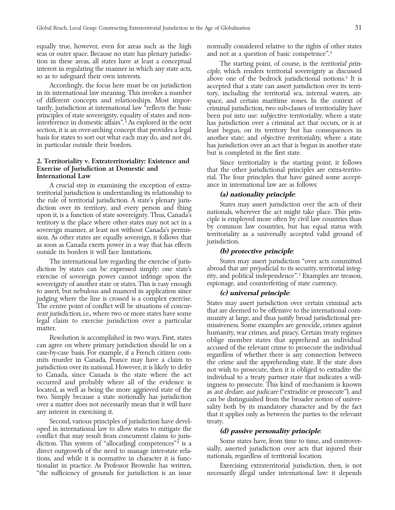equally true, however, even for areas such as the high normally considered relative to the rights of other states seas or outer space. Because no state has plenary jurisdic- and not as a question of basic competence".<sup>5</sup>

basis for states to sort out what each may do, and not do, another state; and *objective territoriality*, where a state in particular outside their borders.

A crucial step in examining the exception of extra- ance in international law are as follows: territorial jurisdiction is understanding its relationship to **(a) nationality principle**: the rule of territorial jurisdiction. A state's plenary juris-<br>diction over its territory, and every person and thing<br>upon it, is a function of state sovereignty. Thus, Canada's<br>territory is the place where other states ma as soon as Canada exerts power in a way that has effects outside its borders it will face limitations. **(b) protective principle**:

diction by states can be expressed simply: one state's exercise of sovereign power cannot infringe upon the rity, and political independence".<sup>7</sup> Examples are treason, sovereignty of another state or states. This is easy enough espionage, and counterfeiting of state currency. to assert, but nebulous and nuanced in application since **(c) universal principle**:<br>
judging where the line is crossed is a complex exercise.

Second, various principles of jurisdiction have devel-<br>oped in international law to allow states to mitigate the oped in international law to allow states to mitigate the<br>conflict that may result from concurrent claims to juris-<br>diction. This system of "allocat[ing] competences"<sup>4</sup> is a<br>direct outgrowth of the need to manage inter-st tionalist in practice. As Professor Brownlie has written, Exercising extraterritorial jurisdiction, then, is not ''the sufficiency of grounds for jurisdiction is an issue necessarily illegal under international law: it depends

tion in these areas, all states have at least a conceptual The starting point, of course, is the *territorial prin*<br>interest in regulating the manner in which any state acts,<br>so as to safeguard their own interests.<br>above o Accordingly, the focus here must be on jurisdiction accepted that a state can assert jurisdiction over its terriin its international law meaning. This invokes a number tory, including the territorial sea, internal waters, airof different concepts and relationships. Most impor- space, and certain maritime zones. In the context of tantly, jurisdiction at international law ''reflects the basic criminal jurisdiction, two sub-classes of territoriality have principles of state sovereignty, equality of states and non- been put into use: *subjective territoriality*, where a state interference in domestic affairs''. 3 As explored in the next has jurisdiction over a criminal act that occurs, or is at section, it is an over-arching concept that provides a legal least begun, on its territory but has consequences in<br>basis for states to sort out what each may do, and not do, another state; and *objective territoriality*, w has jurisdiction over an act that is begun in another state but is completed in the first state.

2. Territoriality v. Extraterritoriality: Existence and Since territoriality is the starting point, it follows<br>Exercise of Jurisdiction at Domestic and that the other jurisdictional principles are extra-territo-<br>Internatio

The international law regarding the exercise of juris-<br>
States may assert jurisdiction "over acts committed<br>
on by states can be expressed simply: one state's abroad that are prejudicial to its security, territorial integ-

judging where the line is crossed is a complex exercise.<br>The centre point of conflict will be situations of *concur-*<br>The centre point of conflict will be situations of concurrent jurisdiction, i.e., where two or more stat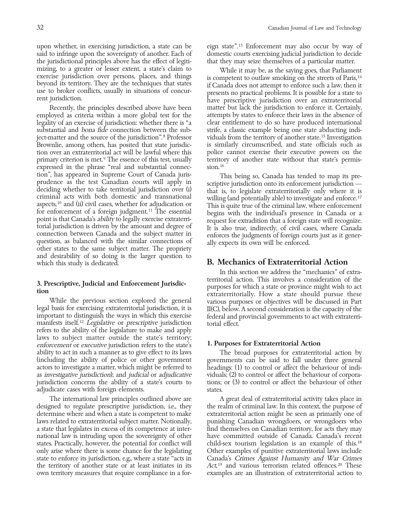upon whether, in exercising jurisdiction, a state can be eign state''. 13 Enforcement may also occur by way of said to infringe upon the sovereignty of another. Each of domestic courts exercising judicial jurisdiction to decide the jurisdictional principles above has the effect of legiti- that they may seize themselves of a particular matter. mizing, to a greater or lesser extent, a state's claim to While it may be, as the saying goes, that Parliament exercise jurisdiction over persons, places, and things beyond its territory. They are the techniques that state

employed as criteria within a more global test for the attempts by states to enforce their laws in the absence of legality of an exercise of jurisdiction: whether there is ''a clear entitlement to do so have produced international substantial and *bona fide* connection between the sub-<br>strife, a classic example being one state abducting indiject-matter and the source of the jurisdiction".<sup>8</sup> Professor viduals from the territory of another state.<sup>15</sup> Investigation Brownlie, among others, has posited that state jurisdic-<br>
is similarly circumscribed, and state officials such as<br>

tion over an extraterritorial act will be lawful where this<br>

police cannot exercise their executive powe tion over an extraterritorial act will be lawful where this police cannot exercise their executive powers on the primary criterion is met.<sup>9</sup> The essence of this test, usually territory of another state without that state' primary criterion is met.<sup>9</sup> The essence of this test, usually territory expressed in the phrase "real and substantial connec-  $\sinh^{16}$ expressed in the phrase "real and substantial connection", has appeared in Supreme Court of Canada juris-<br>prudence as the test Canadian courts will apply in<br>deciding whether to take territorial jurisdiction over (i)<br>criminal acts with both domestic and transnational<br>aspect aspects,<sup>10</sup> and (ii) civil cases, whether for adjudication or<br>for enforcement of a foreign judgment.<sup>11</sup> The essential<br>point is that Canada's *ability* to legally exercise extraterri-<br>torial jurisdiction is driven by the and desirability of so doing is the larger question to which this study is dedicated.  $\overline{B}$ . Mechanics of Extraterritorial Action

refers to the ability of the legislature to make and apply laws to subject matter outside the state's territory;<br>enforcement or executive jurisdiction refers to the state's **1. Purposes for Extraterritorial Action** adjudicate cases with foreign elements. states.

designed to regulate prescriptive jurisdiction, i.e., they the realm of criminal law. In this context, the purpose of laws related to extraterritorial subject matter. Notionally, punishing Canadian wrongdoers, or wrongdoers who a state that legislates in excess of its competence at inter- find themselves on Canadian territory, for acts they may national law is intruding upon the sovereignty of other have committed outside of Canada. Canada's recent states. Practically, however, the potential for conflict will child-sex tourism legislation is an example of this.<sup>18</sup> only arise where there is some chance for the legislating Other examples of punitive extraterritorial laws include state to enforce its jurisdiction, e.g., where a state "acts in Canada's Crimes Against Humanity and War Crimes the territory of another state or at least initiates in its

beyond its territory. They are the techniques that states if Canada does not attempt to enforce such a law, then it<br>use to broker conflicts, usually in situations of concur-<br>resents no practical problems. It is possible fo Recently, the principles described above have been matter but lack the jurisdiction to enforce it. Certainly,

In this section we address the ''mechanics'' of extra-3. Prescriptive, Judicial and Enforcement Jurisdic-<br>
tion<br>
While the previous section explored the general<br>
legal basis for exercising extraterritorial jurisdiction, it is<br>
legal basis for exercising extraterritorial juri

ability to act in such a manner as to give effect to its laws The broad purposes for extraterritorial action by (including the ability of police or other government governments can be said to fall under three general actors to investigate a matter, which might be referred to headings: (1) to control or affect the behaviour of indias investigative jurisdiction); and judicial or adjudicative viduals; (2) to control or affect the behaviour of corporajurisdiction concerns the ability of a state's courts to tions; or (3) to control or affect the behaviour of other

The international law principles outlined above are  $\hskip1cm$  A great deal of extraterritorial activity takes place in determine where and when a state is competent to make extraterritorial action might be seen as primarily one of  $Act<sup>19</sup>$  and various terrorism related offences.<sup>20</sup> These own territory measures that require compliance in a for- examples are an illustration of extraterritorial action to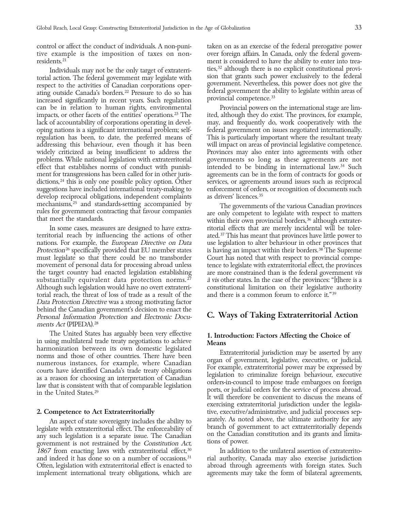control or affect the conduct of individuals. A non-puni- taken on as an exercise of the federal prerogative power

increased significantly in recent years. Such regulation can be in relation to human rights, environmental Provincial powers on the international stage are limimpacts, or other facets of the entities' operations.<sup>23</sup> The ited, although they do exist. The provinces, for example, lack of accountability of corporations operating in devel- may, and frequently do, work cooperatively with the oping nations is a significant international problem; self- federal government on issues negotiated internationally. regulation has been, to date, the preferred means of This is particularly important where the resultant treaty addressing this behaviour, even though it has been will impact on areas of provincial legislative competence. widely criticized as being insufficient to address the Provinces may also enter into agreements with other problems. While national legislation with extraterritorial governments so long as these agreements are not effect that establishes norms of conduct with punish- intended to be binding in international law. 34 Such ment for transgressions has been called for in other juris- agreements can be in the form of contracts for goods or dictions, <sup>24</sup> this is only one possible policy option. Other services, or agreements around issues such as reciprocal suggestions have included international treaty-making to enforcement of orders, or recognition of documents such<br>develop reciprocal obligations, independent complaints as drivers' licences.<sup>35</sup> develop reciprocal obligations, independent complaints mechanisms,<sup>25</sup> and standards-setting accompanied by The governments of the various Canadian provinces<br>rules for government contracting that favour companies are only competent to legislate with respect to matters<br>within t

territorial reach by influencing the actions of other ated.<sup>37</sup> This has meant that provinces have little power to nations. For example, the *European Directive on Data* use legislation to alter behaviour in other provinces that Protection<sup>26</sup> specifically provided that EU member states is having an impact within their borders.<sup>38</sup> The Supreme must legislate so that there could be no transborder Court has noted that with respect to provincial compemovement of personal data for processing abroad unless tence to legislate with extraterritorial effect, the provinces the target country had enacted legislation establishing are more constrained than is the federal government vis substantially equivalent data protection norms.  $27$  a vis other states. In the case of the provinces: "[t]here is a Although such legislation would have no overt extraterri-<br>Constitutional limitation on their legislative torial reach, the threat of loss of trade as a result of the and there is a common forum to enforce it."<sup>39</sup> Data Protection Directive was a strong motivating factor behind the Canadian government's decision to enact the Personal Information Protection and Electronic Docu- C. Ways of Taking Extraterritorial Action ments Act (PIPEDA). <sup>28</sup>

The United States has arguably been very effective<br>
in using multilateral trade treaty negotiations to achieve<br>
harmonization between its own domestic legislated<br>
norms and those of other countries. There have been<br>
numero

legislate with extraterritorial effect. The enforceability of branch of government to act extraterritorially depends<br>any such legislation is a separate issue. The Canadian on the Canadian constitution and its grants and li 1867 from enacting laws with extraterritorial effect,<sup>30</sup> In addition to the unilateral assertion of extraterritoand indeed it has done so on a number of occasions.<sup>31</sup> rial authority, Canada may also exercise jurisdiction Often, legislation with extraterritorial effect is enacted to abroad through agreements with foreign states. Such implement international treaty obligations, which are agreements may take the form of bilateral agreements,

tive example is the imposition of taxes on non- over foreign affairs. In Canada, only the federal governresidents.<sup>21</sup> ment is considered to have the ability to enter into trea-Individuals may not be the only target of extraterri-<br>torial action. The federal government may legislate with<br>respect to the activities of Canadian corporations oper-<br>ating outside Canada's borders.<sup>22</sup> Pressure to do so

In some cases, measures are designed to have extra- ritorial effects that are merely incidental will be tolerconstitutional limitation on their legislative authority

It will therefore be convenient to discuss the means of exercising extraterritorial jurisdiction under the legisla-2. Competence to Act Extraterritorially tive, executive/administrative, and judicial processes sep-An aspect of state sovereignty includes the ability to arately. As noted above, the ultimate authority for any<br>late with extraterritorial effect. The enforceability of branch of government to act extraterritorially depends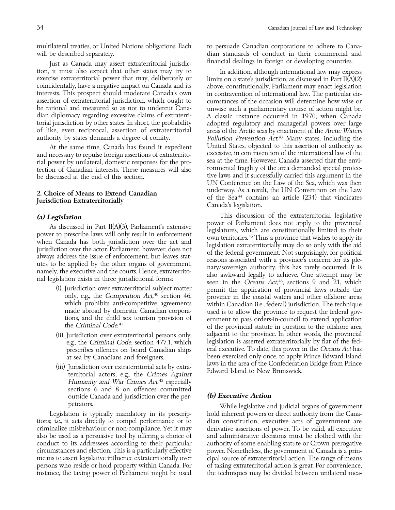will be described separately. The dian standards of conduct in their commercial and

tion, it must also expect that other states may try to In addition, although international law may express extraterritorial power that may, deliberately or limits on a state's jurisdiction, as discussed in Part II(A)(2) exercise extraterritorial power that may, deliberately or limits on a state's jurisdiction, as discussed in Part II(A)(2)<br>coincidentally, have a negative impact on Canada and its above, constitutionally, Parliament may ena coincidentally, have a negative impact on Canada and its above, constitutionally, Parliament may enact legislation interests. This prospect should moderate Canada's own in contravention of international law. The particular cirassertion of extraterritorial jurisdiction, which ought to cumstances of the occasion will determine how wise or<br>be rational and measured so as not to undercut Cana-cumvise such a parliamentary course of action might be. be rational and measured so as not to undercut Cana- unwise such a parliamentary course of action might be. dian diplomacy regarding excessive claims of extraterri- A classic instance occurred in 1970, when Canada torial jurisdiction by other states. In short, the probability adopted regulatory and managerial powers over large<br>of like, even reciprocal, assertion of extraterritorial areas of the Arctic seas by enactment of the Arctic authority by states demands a degree of comity.

and necessary to repulse foreign assertions of extraterrito-<br>
rial power by unilateral, domestic responses for the pro-<br>
tection of Canadian interests. These measures will also<br>
tive laws and it successfully carried this a

- 
- 
- laws in the area of the Confederation Bridge from Prince (iii) Jurisdiction over extraterritorial acts by extra- Edward Island to New Brunswick. territorial actors, e.g., the Crimes Against Humanity and War Crimes Act, 42 especially sections 6 and 8 on offences committed outside Canada and jurisdiction over the per- **(b) Executive Action**

tions; i.e., it acts directly to compel performance or to dian constitution, executive acts of government are criminalize misbehaviour or non-compliance. Yet it may derivative assertions of power. To be valid, all executive also be used as a persuasive tool by offering a choice of and administrative decisions must be clothed with the conduct to its addressees according to their particular authority of some enabling statute or Crown prerogative circumstances and election. This is a particularly effective power. Nonetheless, the government of Canada is a prinmeans to assert legislative influence extraterritorially over cipal source of extraterritorial action. The range of means persons who reside or hold property within Canada. For of taking extraterritorial action is great. For convenience,

multilateral treaties, or United Nations obligations. Each to persuade Canadian corporations to adhere to Cana-Just as Canada may assert extraterritorial jurisdic-<br>
financial dealings in foreign or developing countries.

areas of the Arctic seas by enactment of the Arctic Waters Pollution Prevention Act<sup>43</sup> Many states, including the At the same time, Canada has found it expedient United States, objected to this assertion of authority as<br>necessary to repulse foreign assertions of extraterritotive laws and it successfully carried this argument in the UN Conference on the Law of the Sea, which was then 2. Choice of Means to Extend Canadian underway. As a result, the UN Convention on the Law of the Sea<sup>44</sup> contains an article (234) that vindicates Canada's legislation.

(a) Legislation<br>
As discussed in Part II(A)(3), Parliament's extensive<br>
power of Parliament does not apply to the provincial<br>
power to prescribe laws will only result in enforcement<br>
when Canada has both jurisdiction over (i) Jurisdiction over extraterritorial subject matter<br>
(i) Jurisdiction over extraterritorial subject matter<br>
only, e.g., the *Competition Act*<sup>40</sup> section 46,<br>
which probibits anti-competitive agreements<br>
made abroad by the Criminal Code.<sup>41</sup> of the provincial statute in question to the offshore area adjacent to the province. In other words, the provincial (ii) Jurisdiction over extraterritorial persons only, e.g., the Criminal Code, section 477.1, which legislation is asserted extraterritorially by fiat of the fedprescribes offences on board Canadian ships eral executive. To date, this power in the Oceans Act has at sea by Canadians and foreigners.<br>laws in the area of the Confederation Bridge from Prince

petrators. While legislative and judicial organs of government Legislation is typically mandatory in its prescrip- hold inherent powers or direct authority from the Canainstance, the taxing power of Parliament might be used the techniques may be divided between unilateral mea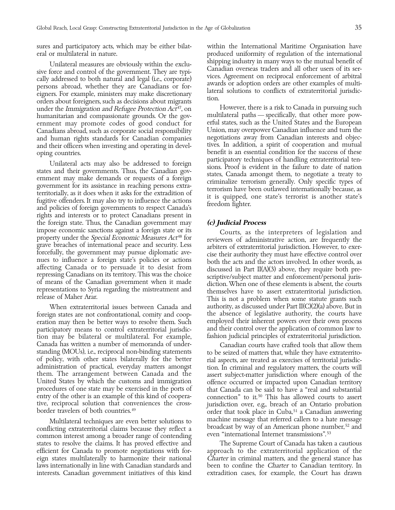sures and participatory acts, which may be either bilat- within the International Maritime Organisation have eral or multilateral in nature. produced uniformity of regulation of the international

Unilateral measures are obviously within the exclu-<br>sive force and control of the government. They are typi-<br>cally addressed to both natural and legal (i.e., corporate)<br>persons abroad, whether they are Canadians or for-<br>ei under the Immigration and Refugee Protection Act<sup>47</sup>, on However, there is a risk to Canada in pursuing such humanitarian and compassionate grounds. Or the gov-<br>multilateral paths — specifically, that other more powhumanitarian and compassionate grounds. Or the gov-<br>ernment may promote codes of good conduct for erful states, such as the United States and the European ernment may promote codes of good conduct for erful states, such as the United States and the European<br>Canadians abroad, such as corporate social responsibility Union, may overpower Canadian influence and turn the Canadians abroad, such as corporate social responsibility Union, may overpower Canadian influence and turn the and human rights standards for Canadian companies and their officers when investing and operating in devel- tives. In addition, a spirit of cooperation and mutual

Unilateral acts may also be addressed to foreign<br>states and their governments. Thus, the Canadian gov-<br>ernment may make demands or requests of a foreign<br>government for its assistance in reaching persons extra-<br>territoriall rights and interests or to protect Canadians present in the foreign state. Thus, the Canadian government may **(c) Judicial Process**

foreign states are not confrontational, comity and coop- the absence of legislative authority, the courts have eration may then be better ways to resolve them. Such employed their inherent powers over their own process<br>participatory means to control extraterritorial jurisdic- and their control over the application of common law to participatory means to control extraterritorial jurisdic- and their control over the application of common law to<br>tion may be bilateral or multilateral. For example, fashion judicial principles of extraterritorial jurisdic tion may be bilateral or multilateral. For example, Canada has written a number of memoranda of under-canadian courts have crafted tools that allow them<br>standing (MOUs), i.e., reciprocal non-binding statements to be seized of matters that, while they have extraterritostanding (MOUs), i.e., reciprocal non-binding statements<br>of policy, with other states bilaterally for the better<br>administration of practical, everyday matters amongst<br>them. The arrangement between Canada and the<br>United Sta entry of the other is an example of this kind of coopera-<br>tive, reciprocal solution that conveniences the cross-<br>jurisdiction over, e.g., breach of an Ontario probation

conflicting extraterritorial claims because they reflect a even "international Internet transmissions".<sup>53</sup> and common interest among a broader range of contending states to resolve the claims. It has proved effective and states to resolve the claims. It has proved effective and efficient for Canada to promote negotiations with for- approach to the extraterritorial application of the eign states multilaterally to harmonize their national Charter in criminal matters, and the general stance has laws internationally in line with Canadian standards and been to confine the *Charter* to Canadian territory. In interests. Canadian government initiatives of this kind extradition cases, for example, the Court has drawn

oping countries.<br>I-lateral acts may also be addressed to familian extractional condition of handling extraterritorial ten-

impose economic sanctions against a foreign state or its<br>property under the *Special Economic Measures Act*<sup>48</sup> for<br>grave breaches of international peace and security. Less<br>differential jurisdiction. However, to exer-<br>forc When extraterritorial issues between Canada and authority, as discussed under Part II(C)(2)(a) above. But in

tive, reciprocal solution that conveniences the cross-<br>border travelers of both countries.<sup>49</sup> order that took place in Cuba,<sup>51</sup> a Canadian answering Multilateral techniques are even better solutions to machine message that referred callers to a hate message<br>dicting extraterritorial claims because they reflect a broadcast by way of an American phone number,<sup>52</sup> and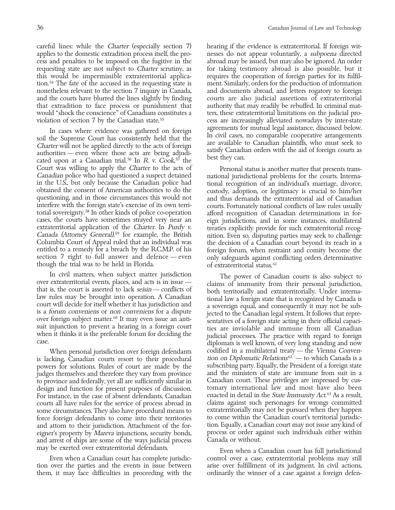applies to the domestic extradition process itself, the pro-<br>
cess and penalties to be imposed on the fugitive in the abroad may be issued, but may also be ignored. An order cess and penalties to be imposed on the fugitive in the requesting state are not subject to *Charter* scrutiny, as for taking testimony abroad is also possible, but it this would be impermissible extraterritorial applica- requires the cooperation of foreign parties for its fulfiltion. 54 The fate of the accused in the requesting state is ment. Similarly, orders for the production of information nonetheless relevant to the section 7 inquiry in Canada, and documents abroad, and letters rogatory to foreign and the courts have blurred the lines slightly by finding courts are also judicial assertions of extraterritorial that extradition to face process or punishment that authority that may readily be rebuffed. In criminal matwould ''shock the conscience'' of Canadians constitutes a ters, these extraterritorial limitations on the judicial proviolation of section 7 by the Canadian state.<sup>55</sup> cess are increasingly alleviated nowadays by inter-state

In cases where evidence was gathered on foreign agreements for mutual legal assistance, discussed below.<br>
soil the Supreme Court has consistently held that the Charter will not be applied directly to the acts of foreign<br>
a cated upon at a Canadian trial.<sup>56</sup> In R v. Cook,<sup>57</sup> the Court was willing to apply the *Charter* to the acts of Personal status is another matter that presents trans-<br>Canadian police who had questioned a suspect detained national jurisdictional problems for the courts. Interna-Canadian police who had questioned a suspect detained national jurisdictional problems for the courts. Internain the U.S., but only because the Canadian police had tional recognition of an individual's marriage, divorce, obtained the consent of American authorities to do the custody, adoption, or legitimacy is crucial to him/her<br>questioning, and in those circumstances this would not and thus demands the extraterritorial aid of Canadian questioning, and in those circumstances this would not and thus demands the extraterritorial aid of Canadian<br>interfere with the foreign state's exercise of its own terri-ally courts. Fortunately national conflicts of law r interfere with the foreign state's exercise of its own terri-courts. Fortunately national conflicts of law rules usually<br>torial sovereignty.<sup>58</sup> In other kinds of police co-operation afford recognition of Canadian determin torial sovereignty.<sup>58</sup> In other kinds of police co-operation afford recognition of Canadian determinations in for-<br>cases, the courts have sometimes strayed very near an eign jurisdictions, and in some instances, multilate cases, the courts have sometimes strayed very near an eign jurisdictions, and in some instances, multilateral extraterritorial application of the *Charter.* In *Purdy v.* treaties explicitly provide for such extraterritori extraterritorial application of the Charter. In Purdy v. treaties explicitly provide for such extraterritorial recog-<br>Canada (Attorney General),<sup>59</sup> for example, the British inition. Even so, disputing parties may seek to Ganada (Attorney General),<sup>39</sup> for example, the British nition. Even so, disputing parties may seek to challenge<br>Columbia Court of Appeal ruled that an individual was the decision of a Canadian court beyond its reach in a Columbia Court of Appeal ruled that an individual was the decision of a Canadian court beyond its reach in a entitled to a remedy for a breach by the R.C.M.P. of his foreign forum, when restraint and comity become the sect though the trial was to be held in Florida.

In civil matters, when subject matter jurisdiction<br>over extraterritorial events, places, and acts is in issue —<br>that is, the court is asserted to lack *seisin* — conflicts of<br>law rules may be brought into operation. A Cana

is lacking, Canadian courts resort to their procedural tion on Diplomatic Relations<sup>62</sup> — to which Canada is a powers for solutions. Rules of court are made by the subscribing party. Equally, the President of a foreign state judges themselves and therefore they vary from province and the ministers of state are immune from suit in a<br>to province and federally, yet all are sufficiently similar in Canadian court. These privileges are impressed by to province and federally, yet all are sufficiently similar in design and function for present purposes of discussion. tomary international law and most have also been For instance, in the case of absent defendants, Canadian enacted in detail in the *State Immunity Act*.<sup>63</sup> As a result, courts all have rules for the service of process abroad in claims against such personages for wrongs courts all have rules for the service of process abroad in claims against such personages for wrongs committed some circumstances. They also have procedural means to extraterritorially may not be pursued when they happen<br>force foreign defendants to come into their territories to come within the Canadian court's territorial jurisdic and attorn to their jurisdiction. Attachment of the foreigner's property by *Mareva* injunctions, security bonds, process or order against such individuals either within and arrest of ships are some of the ways judicial process Canada or without. and arrest of ships are some of the ways judicial process

tion over the parties and the events in issue between arise over fulfillment of its judgment. In civil actions, them, it may face difficulties in proceeding with the ordinarily the winner of a case against a foreign defen-

careful lines: while the Charter (especially section 7) hearing if the evidence is extraterritorial. If foreign wit-

only safeguards against conflicting orders determinative of extraterritorial status.<sup>61</sup>

when it thinks it is the preferable forum for deciding the gudicial processes. The practice with regard to foreign<br>case. diplomats is well known, of very long standing and now When personal jurisdiction over foreign defendants codified in a multilateral treaty — the *Vienna Conven*enacted in detail in the *State Immunity Act*.<sup>63</sup> As a result, force foreign defendants to come into their territories to come within the Canadian court's territorial jurisdic-<br>and attorn to their jurisdiction. Attachment of the for-tion. Equally, a Canadian court may not issue any ki

may be exerted over extraterritorial defendants. Even when a Canadian court has full jurisdictional Even when a Canadian court has complete jurisdic- control over a case, extraterritorial problems may still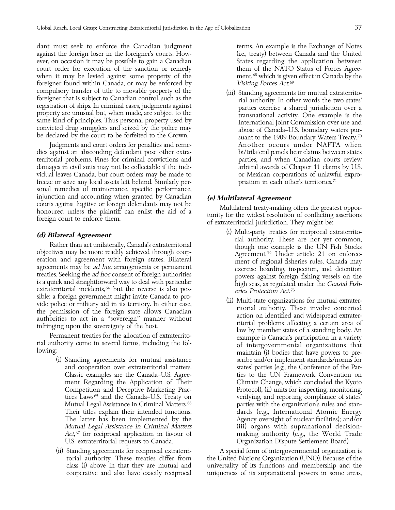dant must seek to enforce the Canadian judgment terms. An example is the Exchange of Notes against the foreign loser in the foreigner's courts. How- (i.e., treaty) between Canada and the United ever, on occasion it may be possible to gain a Canadian States regarding the application between court order for execution of the sanction or remedy them of the NATO Status of Forces Agreewhen it may be levied against some property of the ment, <sup>68</sup> which is given effect in Canada by the foreigner found within Canada, or may be enforced by compulsory transfer of title to movable property of the foreigner that is subject to Canadian control, such as the registration of ships. In criminal cases, judgments against property are unusual but, when made, are subjec

Judgments and court orders for penalties and reme- Another occurs under NAFTA when dies against an absconding defendant pose other extra- bi/trilateral panels hear claims between states territorial problems. Fines for criminal convictions and parties, and when Canadian courts review<br>damages in civil suits may not be collectable if the indi-<br>arbitral awards of Chapter 11 claims by U.S. damages in civil suits may not be collectable if the individual leaves Canada, but court orders may be made to or Mexican corporations of unlawful exprofreeze or seize any local assets left behind. Similarly per- priation in each other's territories. <sup>71</sup> sonal remedies of maintenance, specific performance, injunction and accounting when granted by Canadian<br>courts against fugitive or foreign defendants may not be<br>honoured unless the plaintiff can enlist the aid of a<br>foreign court to enforce them.<br>of extraterritorial jurisdict

is a quick and straightforward way to deal with particular high seas, as regulated under the *Coastal Fish*-<br>extraterritorial incidents,  $64$  but the reverse is also pos-<br>sible: a foreign government might invite Canada to

- (i) Standing agreements for mutual assistance scribe and/or implement standards/norms for Act,<sup>67</sup> for reciprocal application in favour of U.S. extraterritorial requests to Canada. Organization Dispute Settlement Board).
- 

Visiting Forces Act.<sup>69</sup>

- (d) **Bilateral Agreement**<br>
Rather than act unilaterally, Canada's extraterritorial<br>
objectives may be more readily achieved through coop-<br>
eration and agreement with foreign states. Bilateral<br>
agreement<sup>72</sup> Under article 2 eries Protection Act.<sup>73</sup>
- Sible: a foreign government might invite Canada to pro-<br>
vide police or military aid in its territory. In either case,<br>
the permission of the foreign state allows Canadian<br>
authority. These involve concerted<br>
authorities t and cooperation over extraterritorial matters. states' parties (e.g., the Conference of the Par-Classic examples are the Canada–U.S. Agree- ties to the UN Framework Convention on ment Regarding the Application of Their Climate Change, which concluded the Kyoto Competition and Deceptive Marketing Prac- Protocol); (ii) units for inspecting, monitoring, tices Laws 65 and the Canada–U.S. Treaty on verifying, and reporting compliance of states' Mutual Legal Assistance in Criminal Matters.<sup>66</sup> parties with the organization's rules and stan-Their titles explain their intended functions. <br>
dards (e.g., International Atomic Energy The latter has been implemented by the Agency oversight of nuclear facilities); and/or Mutual Legal Assistance in Criminal Matters (iii) organs with supranational decisionmaking authority (e.g., the World Trade

(ii) Standing agreements for reciprocal extraterri- A special form of intergovernmental organization is torial authority. These treaties differ from the United Nations Organization (UNO). Because of the class (i) above in that they are mutual and universality of its functions and membership and the universality of its functions and membership and the cooperative and also have exactly reciprocal uniqueness of its supranational powers in some areas,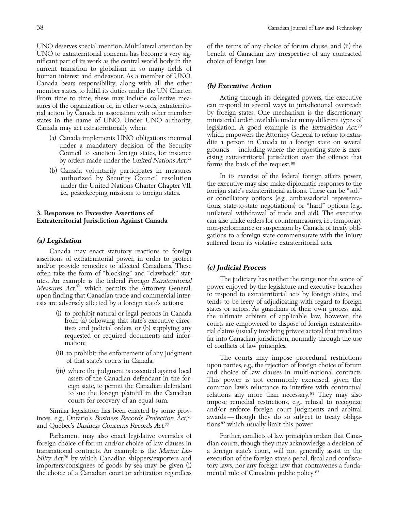UNO to extraterritorial concerns has become a very sig- benefit of Canadian law irrespective of any contracted nificant part of its work as the central world body in the choice of foreign law. current transition to globalism in so many fields of human interest and endeavour. As a member of UNO, Canada bears responsibility, along with all the other **(b) Executive Action** member states, to fulfill its duties under the UN Charter. From time to time, these may include collective mea-<br>sures of the organization or, in other words, extraterrito- can respond in several ways to jurisdictional overreach sures of the organization or, in other words, extraterrito-can respond in several ways to jurisdictional overreach<br>rial action by Canada in association with other member by foreign states. One mechanism is the discretionar rial action by Canada in association with other member by foreign states. One mechanism is the discretionary<br>states in the name of UNO. Under UNO authority, ministerial order, available under many different types of states in the name of UNO. Under UNO authority,

- 
- 

Canada may enact statutory reactions to foreign assertions of extraterritorial power, in order to protect and/or provide remedies to affected Canadians. These **(c) Judicial Process**<br>often take the form of "blocking" and "clawback" stat-<br>utes. An example is the federal *Foreien Extraterritorial* The judiciary has neither the ra utes. An example is the federal *Foreign Extraterritorial* The judiciary has neither the range nor the scope of<br>Measures Act<sup>75</sup> which permits the Attorney General power enjoyed by the legislature and executive branches Measures Act,<sup>75</sup>, which permits the Attorney General, power enjoyed by the legislature and executive branches upon finding that Canadian trade and commercial inter- to respond to extraterritorial acts by foreign states, and

- 
- 
- 

inces, e.g., Ontario's *Business Records Protection*  $\rm \AA ct$ *76* awards — though they do so subject to treaty obligaand Quebec's *Business Concerns Records Act.*  $77$  tions<sup>82</sup> which usually limit this power.

bility Act,<sup>78</sup> by which Canadian shippers/exporters and the choice of a Canadian court or arbitration regardless mental rule of Canadian public policy.<sup>83</sup>

UNO deserves special mention. Multilateral attention by of the terms of any choice of forum clause, and (ii) the

Canada may act extraterritorially when: legislation. A good example is the Extradition Act,<sup>79</sup> (a) Canada implements UNO obligations incurred<br>under a mandatory decision of the Security<br>Council to sanction foreign states, for instance<br>by orders made under the United Nations  $Act^{74}$ , cising extractmitorial jurisdicti forms the basis of the request. <sup>80</sup>

(b) Canada voluntarily participates in measures<br>authorized by Security Council resolution<br>under the United Nations Charter Chapter VII, the executive may also make diplomatic responses to the<br>i.e., peacekeeping missions to tions, state-to-state negotiations) or ''hard'' options (e.g., 3. Responses to Excessive Assertions of unilateral withdrawal of trade and aid). The executive **Extraterritorial Jurisdiction Against Canada** can also make orders for countermeasures, i.e., temporary non-performance or suspension by Canada of treaty obligations to a foreign state commensurate with the injury **(a) Legislation** suffered from its violative extraterritorial acts.

ests are adversely affected by a foreign state's actions: tends to be leery of adjudicating with regard to foreign<br>states or actors. As guardians of their own process and (i) to prohibit natural or legal persons in Canada<br>from (a) following that state's executive direc-<br>tives and judicial orders, or (b) supplying any<br>requested or required documents and infor-<br>mation;<br>tion, normally through

(ii) to prohibit the enforcement of any judgment<br>of that state's courts in Canada;<br>(iii) where the judgment is executed against local<br>assets of the Canadian defendant in the for-<br>This power is not commonly exercised, given assets of the Canadian defendant in the for-<br>
eign state, to permit the Canadian defendant<br>
to sue the foreign plaintiff in the Canadian<br>
elations any more than necessary.<sup>81</sup> They may also to sue the foreign plaintiff in the Canadian relations any more than necessary.<sup>81</sup> They may also courts for recovery of an equal sum. impose remedial restrictions, e.g., refusal to recognize Similar legislation has been enacted by some prov- and/or enforce foreign court judgments and arbitral<br>seg. Ontario's *Business Records Protection Act*.<sup>76</sup> awards—though they do so subject to treaty obliga-

Parliament may also enact legislative overrides of Further, conflicts of law principles ordain that Canaforeign choice of forum and/or choice of law clauses in dian courts, though they may acknowledge a decision of transnational contracts. An example is the Marine Lia- a foreign state's court, will not generally assist in the execution of the foreign state's penal, fiscal and confiscaimporters/consignees of goods by sea may be given (i) tory laws, nor any foreign law that contravenes a funda-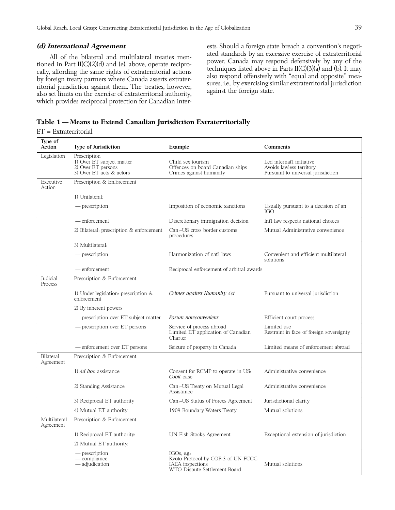All of the bilateral and multilateral treaties men-<br>tioned in Part II(C)(2)(d) and (e), above, operate recipro-<br>cally, affording the same rights of extraterritorial actions<br>by foreign treaty partners where Canada asserts e which provides reciprocal protection for Canadian inter-

**(d) International Agreement** ests. Should a foreign state breach a convention's negoti-

### **Table 1 — Means to Extend Canadian Jurisdiction Extraterritorially**

### ET = Extraterritorial

| Type of<br>Action         | Type of Jurisdiction                                                                        | Example                                                                                               | Comments                                                                                    |
|---------------------------|---------------------------------------------------------------------------------------------|-------------------------------------------------------------------------------------------------------|---------------------------------------------------------------------------------------------|
| Legislation               | Prescription<br>1) Over ET subject matter<br>2) Over ET persons<br>3) Over ET acts & actors | Child sex tourism<br>Offences on board Canadian ships<br>Crimes against humanity                      | Led internat'l initiative<br>Avoids lawless territory<br>Pursuant to universal jurisdiction |
| Executive<br>Action       | Prescription & Enforcement                                                                  |                                                                                                       |                                                                                             |
|                           | 1) Unilateral:                                                                              |                                                                                                       |                                                                                             |
|                           | — prescription                                                                              | Imposition of economic sanctions                                                                      | Usually pursuant to a decision of an<br><b>IGO</b>                                          |
|                           | — enforcement                                                                               | Discretionary immigration decision                                                                    | Int'l law respects national choices                                                         |
|                           | 2) Bilateral: prescription & enforcement                                                    | Can.-US cross border customs<br>procedures                                                            | Mutual Administrative convenience                                                           |
|                           | 3) Multilateral:                                                                            |                                                                                                       |                                                                                             |
|                           | — prescription                                                                              | Harmonization of nat'l laws                                                                           | Convenient and efficient multilateral<br>solutions                                          |
|                           | — enforcement                                                                               | Reciprocal enforcement of arbitral awards                                                             |                                                                                             |
| Judicial<br>Process       | Prescription & Enforcement                                                                  |                                                                                                       |                                                                                             |
|                           | 1) Under legislation: prescription $&$<br>enforcement                                       | Crimes against Humanity Act                                                                           | Pursuant to universal jurisdiction                                                          |
|                           | 2) By inherent powers                                                                       |                                                                                                       |                                                                                             |
|                           | - prescription over ET subject matter                                                       | Forum non/conveniens                                                                                  | Efficient court process                                                                     |
|                           | — prescription over ET persons                                                              | Service of process abroad<br>Limited ET application of Canadian<br>Charter                            | Limited use<br>Restraint in face of foreign sovereignty                                     |
|                           | - enforcement over ET persons                                                               | Seizure of property in Canada                                                                         | Limited means of enforcement abroad                                                         |
| Bilateral<br>Agreement    | Prescription & Enforcement                                                                  |                                                                                                       |                                                                                             |
|                           | 1) <i>Ad hoc</i> assistance                                                                 | Consent for RCMP to operate in US:<br>Cook case                                                       | Administrative convenience                                                                  |
|                           | 2) Standing Assistance                                                                      | Can.-US Treaty on Mutual Legal<br>Assistance                                                          | Administrative convenience                                                                  |
|                           | 3) Reciprocal ET authority                                                                  | Can.-US Status of Forces Agreement                                                                    | Jurisdictional clarity                                                                      |
|                           | 4) Mutual ET authority                                                                      | 1909 Boundary Waters Treaty                                                                           | Mutual solutions                                                                            |
| Multilateral<br>Agreement | Prescription & Enforcement                                                                  |                                                                                                       |                                                                                             |
|                           | 1) Reciprocal ET authority:                                                                 | UN Fish Stocks Agreement                                                                              | Exceptional extension of jurisdiction                                                       |
|                           | 2) Mutual ET authority:                                                                     |                                                                                                       |                                                                                             |
|                           | — prescription<br>$-$ compliance<br>— adjudication                                          | IGOs, e.g.:<br>Kyoto Protocol by COP-3 of UN FCCC<br>IAEA inspections<br>WTO Dispute Settlement Board | Mutual solutions                                                                            |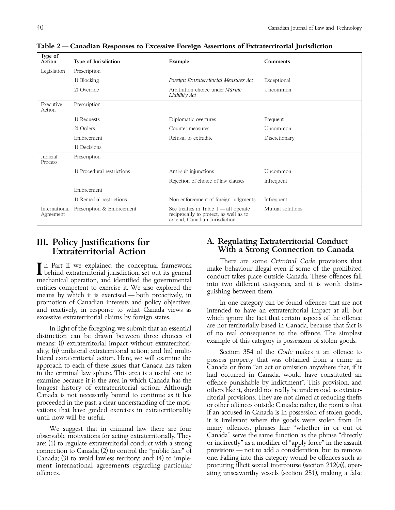| Type of<br>Action          | <b>Type of Jurisdiction</b> | Example                                                                                                            | Comments         |
|----------------------------|-----------------------------|--------------------------------------------------------------------------------------------------------------------|------------------|
| Legislation                | Prescription                |                                                                                                                    |                  |
|                            | 1) Blocking                 | Foreign Extraterritorial Measures Act                                                                              | Exceptional      |
|                            | 2) Override                 | Arbitration choice under <i>Marine</i><br>Liability Act                                                            | <b>Uncommon</b>  |
| Executive<br>Action        | Prescription                |                                                                                                                    |                  |
|                            | 1) Requests                 | Diplomatic overtures                                                                                               | Frequent         |
|                            | 2) Orders                   | Counter measures                                                                                                   | <b>Uncommon</b>  |
|                            | Enforcement                 | Refusal to extradite                                                                                               | Discretionary    |
|                            | 1) Decisions                |                                                                                                                    |                  |
| Judicial<br>Process        | Prescription                |                                                                                                                    |                  |
|                            | 1) Procedural restrictions  | Anti-suit injunctions                                                                                              | Uncommon         |
|                            |                             | Rejection of choice of law clauses                                                                                 | Infrequent       |
|                            | Enforcement                 |                                                                                                                    |                  |
|                            | 1) Remedial restrictions    | Non-enforcement of foreign judgments                                                                               | Infrequent       |
| International<br>Agreement | Prescription & Enforcement  | See treaties in Table $1$ — all operate<br>reciprocally to protect, as well as to<br>extend, Canadian Jurisdiction | Mutual solutions |

**Table 2 — Canadian Responses to Excessive Foreign Assertions of Extraterritorial Jurisdiction**

promotion of Canadian interests and policy objectives, In one category can be found offences that are not and reactively, in response to what Canada views as intended to have an extraterritorial impact at all, but

means: (i) extraterritorial impact without extraterritoriality; (ii) unilateral extraterritorial action; and (iii) multi-<br>lateral extraterritorial action. Here, we will examine the spossess property that was obtained from a crime in

observable motivations for acting extraterritorially. They are: (1) to regulate extraterritorial conduct with a strong or indirectly" as a modifier of "apply force" in the assault<br>connection to Canada: (2) to control the "public face" of provisions — not to add a consideration, bu connection to Canada;  $(2)$  to control the "public face" of Canada; (3) to avoid lawless territory; and; (4) to imple- one. Falling into this category would be offences such as<br>ment international agreements regarding particular procuring illicit sexual intercourse (section 212(a)), ment international agreements regarding particular offences. ating unseaworthy vessels (section 251), making a false

## III. Policy Justifications for A. Regulating Extraterritorial Conduct Extraterritorial Action With a Strong Connection to Canad With a Strong Connection to Canada

In Part II we explained the conceptual framework<br>
There are some Criminal Code provisions that<br>
mechanical operation, and identified the governmental<br>
entities competent to exercise it. We also explored the<br>
means by which

which ignore the fact that certain aspects of the offence In light of the foregoing, we submit that an essential are not territorially based in Canada, because that fact is<br>distinction can be drawn between three choices of on real consequence to the offence. The simplest<br>example

lateral extraterritorial action. Here, we will examine the<br>approach to each of these issues that Canada has taken<br>in the criminal law sphere. This area is a useful one to<br>bad occurred in Canada, would have constituted an<br>e We suggest that in criminal law there are four many offences, phrases like "whether in or out of<br>rvable motivations for acting extraterritorially. They Canada" serve the same function as the phrase "directly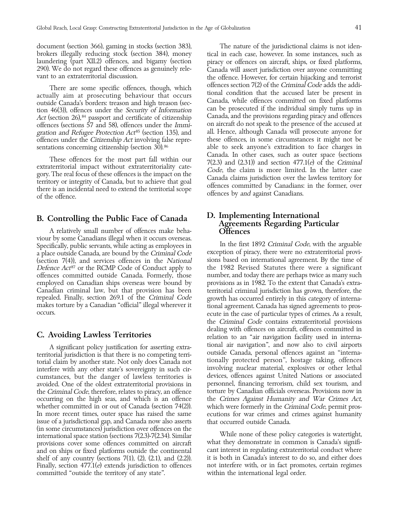document (section 366), gaming in stocks (section 383), The nature of the jurisdictional claims is not iden-

Act (section 26),  $84$  passport and certificate of citizenship offences under the Citizenship Act involving false repre-

A relatively small number of offences make beha- **Offences** viour by some Canadians illegal when it occurs overseas. Specifically, public servants, while acting as employees in In the first 1892 Criminal Code, with the arguable<br>a place outside Canada, are bound by the Criminal Code exception of piracy, there were no extraterritorial prov a place outside Canada, are bound by the *Criminal Code* exception of piracy, there were no extraterritorial provi<br>(section 7(4)), and services offences in the *National* sions based on international agreement. By the time (section 7(4)), and services offences in the *National* sions based on international agreement. By the time of  $Defence Act^{87}$  or the RCMP Code of Conduct apply to the 1982 Revised Statutes there were a significant Defence Act<sup>87</sup> or the RCMP Code of Conduct apply to the 1982 Revised Statutes there were a significant offences committed outside Canada. Formerly, those number, and today there are perhaps twice as many such offences committed outside Canada. Formerly, those employed on Canadian ships overseas were bound by provisions as in 1982. To the extent that Canada's extra-Canadian criminal law, but that provision has been territorial criminal jurisdiction has grown, therefore, the repealed. Finally, section 269.1 of the Criminal Code growth has occurred entirely in this category of internarepealed. Finally, section 269.1 of the *Criminal Code* growth has occurred entirely in this category of interna-<br>makes torture by a Canadian "official" illegal wherever it tional agreement. Canada has signed agreements to makes torture by a Canadian "official" illegal wherever it tional agreement. Canada has signed agreements to pros-<br>- ecute in the case of particular types of crimes. As a result

cumstances, but the danger of lawless territories is devices, offences against United Nations or associated avoided. One of the oldest extraterritorial provisions in personnel, financing terrorism, child sex tourism, and<br>the Criminal Code, therefore, relates to piracy, an offence torture by Canadian officials overseas. Provision the *Criminal Code*, therefore, relates to piracy, an offence occurring on the high seas, and which is an offence the Crimes Against Humanity and War Crimes Act, whether committed in or out of Canada (section 74(2)). which were formerly in the Criminal Code, permit pros-In more recent times, outer space has raised the same ecutions for war crimes and crimes against humanity issue of a jurisdictional gap, and Canada now also asserts that occurred outside Canada. issue of a jurisdictional gap, and Canada now also asserts<br>(in some circumstances) jurisdiction over offences on the international space station (sections 7(2.3)-7(2.34). Similar While none of these policy categories is watertight, provisions cover some offences committed on aircraft what they demonstrate in common is Canada's signifiprovisions cover some offences committed on aircraft what they demonstrate in common is Canada's signifi-<br>and on ships or fixed platforms outside the continental cant interest in regulating extraterritorial conduct where and on ships or fixed platforms outside the continental cant interest in regulating extraterritorial conduct where<br>shelf of any country (sections 7(1), (2), (2.1), and (2.2)). it is both in Canada's interest to do so, and shelf of any country (sections  $7(1)$ ,  $(2)$ ,  $(2.1)$ , and  $(2.2)$ ). Finally, section 477.1(*e*) extends jurisdiction to offences and interfere with, or in fact promotes, certain regimes committed "outside the territory of any state". within the international legal order.

brokers illegally reducing stock (section 384), money tical in each case, however. In some instances, such as laundering (part XII.2) offences, and bigamy (section piracy or offences on aircraft, ships, or fixed platforms, 290). We do not regard these offences as genuinely rele- Canada will assert jurisdiction over anyone committing vant to an extraterritorial discussion. the offence. However, for certain hijacking and terrorist There are some specific offences, though, which<br>actually aim at prosecuting behaviour that occurs<br>outside Canada's borders: treason and high treason (sec-<br>tion 46(3)), offences under the *Security of Information*<br>actually offences (sections 57 and 58), offences under the *Immi*-<br>gration and Refugee Protection Act<sup>85</sup> (section 135), and all. Hence, although Canada will prosecute anyone for gration and Refugee Protection Act<sup>85</sup> (section 135), and all. Hence, although Canada will prosecute anyone for<br>offences under the *Citizenship Act* involving false representations concerning citizenship (section 30).<sup>86</sup> able to seek anyone's extradition to face charges in These offences for the most part fall within our<br>extraterritorial impact without extraterritoriality category. The real focus of these offences is the impact on the<br>gory. The real focus of these offences is the impact on t

# B. Controlling the Public Face of Canada <br>Agreements Regarding Particular

ecute in the case of particular types of crimes. As a result, the Criminal Code contains extraterritorial provisions **C. Avoiding Lawless Territories** dealing with offences on aircraft, offences committed in relation to an "air navigation facility used in interna-A significant policy justification for asserting extra-<br>territorial jurisdiction is that there is no competing terri-<br>torial claim by another state. Not only does Canada not<br>interfere with any other state's sovereignty in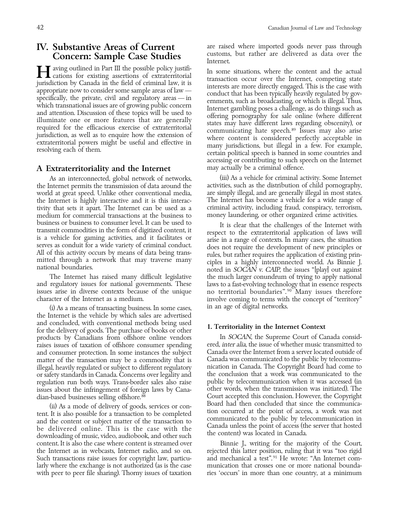# Concern: Sample Case Studies

### A Extraterritoriality and the Internet may actually be a criminal offence.

the Internet permits the transmission of data around the activities, such as the distribution of child pornography, world at great speed. Unlike other conventional media, are simply illegal, and are generally illegal in mo world at great speed. Unlike other conventional media, the Internet is highly interactive and it is this interac-<br>tivity that sets it apart. The Internet can be used as a criminal activity, including fraud, conspiracy, terrorism, tivity that sets it apart. The Internet can be used as a criminal activity, including fraud, conspiracy, terrorism,<br>medium for commercial transactions at the business to money laundering, or other organized crime activitie medium for commercial transactions at the business to

and regulatory issues for national governments. These issues arise in diverse contexts because of the unique issues arise in diverse contexts because of the unique no territorial boundaries".<sup>90</sup> Many issues therefore character of the Internet as a medium.

in an age of digital networks. (i) As a means of transacting business. In some cases, the Internet is the vehicle by which sales are advertised and concluded, with conventional methods being used 1. Territoriality in the Internet Context for the delivery of goods. The purchase of books or other products by Canadians from offshore online vendors In SOCAN, the Supreme Court of Canada consid-<br>raises issues of taxation of offshore consumer spending ered, *inter alia*, the issue of whether music transmitted to raises issues of taxation of offshore consumer spending ered, inter alia, the issue of whether music transmitted to<br>and consumer protection. In some instances the subject Canada over the Internet from a server located outs and consumer protection. In some instances the subject Canada over the Internet from a server located outside of<br>matter of the transaction may be a commodity that is Canada was communicated to the public by telecommumatter of the transaction may be a commodity that is illegal, heavily regulated or subject to different regulatory nication in Canada. The Copyright Board had come to or safety standards in Canada. Concerns over legality and the conclusion that a work was communicated to the regulation run both ways. Trans-border sales also raise public by telecommunication when it was accessed (in issues about the infringement of foreign laws by Cana-

(ii) As a mode of delivery of goods, services or con-<br>tent. It is also possible for a transaction to be completed<br>and the content or subject matter of the transaction to<br>be delivered online. This is the case with the<br>downl content. It is also the case where content is streamed over Binnie J., writing for the majority of the Court, the Internet as in webcasts, Internet radio, and so on. rejected this latter position, ruling that it was "too rigid<br>Such transactions raise issues for copyright law, particu-<br>and mechanical a test".<sup>91</sup> He wrote: "An Inte Such transactions raise issues for copyright law, particularly where the exchange is not authorized (as is the case munication that crosses one or more national boundawith peer to peer file sharing). Thorny issues of taxation ries 'occurs' in more than one country, at a minimum

IV. Substantive Areas of Current are raised where imported goods never pass through Concern: Sample Case Studies Internet.

Maring outlined in Part III the possible policy justifi-<br>
in some situations, where the content and the actual<br>
iunisdiction by Canada in the field of criminal law, it is<br>
iupropriate now to consider some sample areas of l accessing or contributing to such speech on the Internet

As an interconnected, global network of networks, (iii) As a vehicle for criminal activity. Some Internet nermits the transmission of data around the activities, such as the distribution of child pornography,

business or business to consumer level. It can be used to<br>transmit commodities in the form of digitized content, it<br>is a vehicle for gaming activities, and it facilitates or<br>serves as conduit for a wide variety of criminal The Internet has raised many difficult legislative the much larger conundrum of trying to apply national regulatory issues for national governments. These laws to a fast-evolving technology that in essence respects involve coming to terms with the concept of "territory"

dian-based businesses selling offshore.<sup>88</sup> Court accepted this conclusion. However, the Copyright (ii) As a mode of delivery of goods services or con-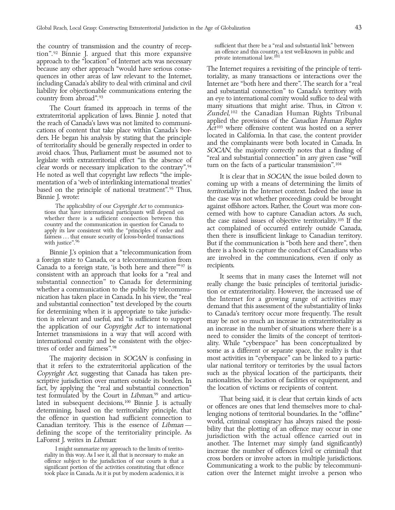the country of transmission and the country of recep- sufficient that there be a ''real and substantial link'' between  $\frac{3}{2}$  Binnie J. argued that this more expansive and offence and this country, a test well-known in public and private international law.<sup>101</sup> approach to the ''location'' of Internet acts was necessary because any other approach ''would have serious conse- The Internet requires a revisiting of the principle of terriquences in other areas of law relevant to the Internet, toriality, as many transactions or interactions over the<br>including Canada's ability to deal with criminal and civil linternet are "both here and there". The search fo including Canada's ability to deal with criminal and civil liability for objectionable communications entering the and substantial connection'' to Canada's territory with

The Court framed its approach in terms of the<br>extraterritorial application of laws. Binnie J. noted that<br>the reach of Canadia's laws was not limited to communi-<br>cations of content that take place within Canada's hor-<br> $Act^{10$ cations of content that take place within Canada's bor-<br>ders. He began his analysis by stating that the principle<br>of territoriality should be generally respected in order to<br>and the complainants were both located in Canad He noted as well that copyright law reflects "the imple-<br>mentation of a 'web of interlinking international treaties' based on the principle of national treatment".<sup>95</sup> Thus,<br>Binnie J. wrote: the case was not whether procee

a foreign state to Canada, or a telecommunication from are involved in the communications, even if only as canada to a foreign state is both here and there  $\frac{mg}{q}$  is completed. Canada to a foreign state, 'is both here and there'<sup>"97</sup> is

that it refers to the extraterritorial application of the ular national territory or territories by the usual factors Copyright Act, suggesting that Canada has taken pre-Copyright Act, suggesting that Canada has taken prefact, by applying the ''real and substantial connection'' the location of victims or recipients of content. test formulated by the Court in *Libman*,<sup>99</sup> and articulated in subsequent decisions,<sup>100</sup> Binnie J. is actually

country from abroad".<sup>93</sup> an eye to international comity would suffice to deal with<br>The Court framed its approach in terms of the many situations that might arise. Thus, in *Citron v.* 

the case was not whether proceedings could be brought The applicability of our *Copyright Act* to communica-<br>
ions that have international participants will depend on expected with how to capture Canadian actors. As such tions that have international participants will depend on whether there is a sufficient connection between this whether there is a sufficient connection between this country and the communication in question for Canada to fairness . . . that ensure security of [cross-border] transactions then there is insufficient linkage to Canadian territory. with justice".<sup>96</sup> But if the communication is "both here and there", then Binnie J.'s opinion that a ''telecommunication from there is a hook to capture the conduct of Canadians who

consistent with an approach that looks for a "real and<br>substantial connection" to Canada for determining<br>incation be public by telecommu-<br>incation has taken place in Canada. In his view, the "real<br>fiction or extraterritori The majority decision in SOCAN is confusing in most activities in "cyberspace" can be linked to a partic-<br>it refers to the extraterritorial application of the ular national territory or territories by the usual factors scriptive jurisdiction over matters outside its borders. In nationalities, the location of facilities or equipment, and

test formulated by the Court in *Libman*,<sup>99</sup> and articu-<br>lated in subsequent decisions,<sup>100</sup> Binnie J. is actually<br>determining based on the territorial bundaries. In the "offline"<br>the offence in question had sufficient co took place in Canada. As it is put by modern academics, it is cation over the Internet might involve a person who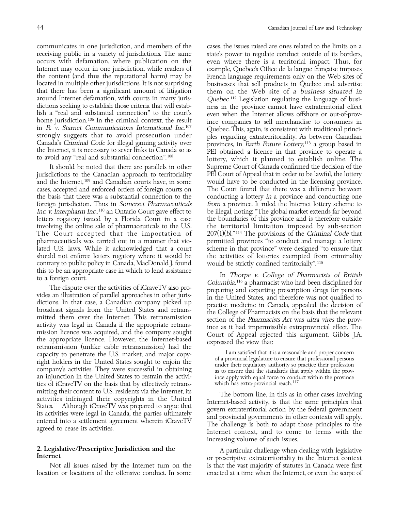receiving public in a variety of jurisdictions. The same state's power to regulate conduct outside of its borders, occurs with defamation, where publication on the even where there is a territorial impact. Thus, for Internet may occur in one jurisdiction, while readers of example, Quebec's Office de la langue française imposes the content (and thus the reputational harm) may be French language requirements only on the Web sites of located in multiple other jurisdictions. It is not surprising businesses that sell products in Quebec and advertise that there has been a significant amount of litigation them on the Web site of a business situated in around Internet defamation, with courts in many juris-<br>dictions seeking to establish those criteria that will estabdictions seeking to establish those criteria that will estab-<br>lish a "real and substantial connection" to the court's<br>home jurisdiction.<sup>106</sup> In the criminal context, the result<br>in R v. Starnet Communications Internationa strongly suggests that to avoid prosecution under<br>Canada's Criminal Code for illegal gaming activity over<br>the Internet, it is necessary to sever links to Canada so as<br>PEI obtained a licence in that province to operate a

jurisdictions to the Canadian approach to territoriality and the Internet,  $109$  and Canadian courts have, in some would have to be conducted in the licensing province. cases, accepted and enforced orders of foreign courts on The Court found that there was a difference between the basis that there was a substantial connection to the conducting a lottery in a province and conducting one foreign jurisdiction. Thus in Somerset Pharmaceuticals from a province. It ruled the Internet lottery scheme to Inc. v. Interpharm Inc., 110 an Ontario Court gave effect to be illegal, noting: ''The global market extends far beyond letters rogatory issued by a Florida Court in a case the boundaries of this province and is therefore outside involving the online sale of pharmaceuticals to the U.S. the territorial limitation imposed by sub-section The Court accepted that the importation of  $207(1)(b)$ ."<sup>114</sup> The provisions of the Criminal Code that The Court accepted that the importation of pharmaceuticals was carried out in a manner that vio-<br>permitted provinces "to conduct and manage a lottery lated U.S. laws. While it acknowledged that a court scheme in that province'' were designed ''to ensure that should not enforce letters rogatory where it would be the activities of lotteries exempted from criminality contrary to public policy in Canada, MacDonald J. found would be strictly confined territorially".<sup>115</sup><br>this to be an appropriate case in which to lend assistance

The dispute over the activities of iCraveTV also process columbia,<sup>116</sup> a pharmacist who had been disciplined for<br>vides an illustration of parallel approaches in other juris-<br>dictions. In that case, a Canadian company pick retransmission (unlike cable retransmission) had the<br>capacity to penetrate the U.S. market, and major copy-<br>right holders in the United States sought to enjoin the<br>company's activities. They were successful in obtaining<br>an an injunction in the United States to restrain the activi-<br>ties of iCraveTV on the basis that by effectively retrans-<br>which has extra-provincial reach.<sup>117</sup> ties of iCraveTV on the basis that by effectively retrans-

communicates in one jurisdiction, and members of the cases, the issues raised are ones related to the limits on a them on the Web site of a business situated in Quebec.<sup>112</sup> Legislation regulating the language of busithe Internet, it is necessary to sever links to Canada so as [DEI obtained a licence in that province to operate a<br>to avoid any "real and substantial connection".<sup>108</sup> lottery, which it planned to establish online. The It should be noted that there are parallels in other Supreme Court of Canada confirmed the decision of the dictions to the Canadian approach to territoriality PEI Court of Appeal that in order to be lawful, the lottery

the activities of intervention to the assistance In Thorpe v. College of Pharmacists of British to a foreign court.<br>Columbia,<sup>116</sup> a pharmacist who had been disciplined for<br>The dispute over the activities of iCraveTV also

mitting their content to U.S. residents via the Internet, its<br>activities infringed their copyrights in the United<br>States.<sup>111</sup> Although iCraveTV was prepared to argue that<br>its activities were legal in Canada, the parties u increasing volume of such issues.

2. Legislative/Prescriptive Jurisdiction and the A particular challenge when dealing with legislative Internet context<br>or prescriptive extraterritoriality in the Internet context Not all issues raised by the Internet turn on the is that the vast majority of statutes in Canada were first location or locations of the offensive conduct. In some enacted at a time when the Internet, or even the scope of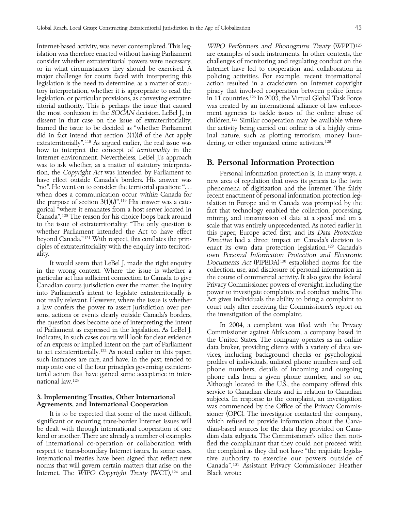Internet-based activity, was never contemplated. This leg- WIPO Performers and Phonograms Treaty (WPPT)<sup>125</sup> islation was therefore enacted without having Parliament are examples of such instruments. In other contexts, the consider whether extraterritorial powers were necessary, challenges of monitoring and regulating conduct on the or in what circumstances they should be exercised. A Internet have led to cooperation and collaboration in major challenge for courts faced with interpreting this policing activities. For example, recent international legislation is the need to determine, as a matter of statu- action resulted in a crackdown on Internet copyright tory interpretation, whether it is appropriate to read the piracy that involved cooperation between police forces legislation, or particular provisions, as conveying extrater- in 11 countries. 126 In 2003, the Virtual Global Task Force ritorial authority. This is perhaps the issue that caused was created by an international alliance of law enforcethe most confusion in the SOCAN decision. LeBel J., in ment agencies to tackle issues of the online abuse of dissent in that case on the issue of extraterritoriality, children.<sup>127</sup> Similar cooperation may be available where framed the issue to be decided as ''whether Parliament the activity being carried out online is of a highly crimdid in fact intend that section  $3(1)(f)$  of the Act apply inal nature, such as plotting terrorism, money laun-<br>extraterritorially".<sup>118</sup> As argued earlier, the real issue was dering, or other organized crime activities.<sup>1</sup> extraterritorially". <sup>118</sup> As argued earlier, the real issue was how to interpret the concept of territoriality in the Internet environment. Nevertheless, LeBel J.'s approach was to ask whether, as a matter of statutory interpreta-<br>Was to ask whether, as a matter of statutory interpreta-<br>B. Personal Information Protection tion, the *Copyright Act* was intended by Parliament to Personal information protection is, in many ways, a<br>have effect outside Canada's borders. His answer was<br>"no". He went on to consider the territorial question:"...<br>" beyond Canada."<sup>121</sup> With respect, this conflates the prin-<br>ciples of extraterritoriality with the enquiry into territori-<br>ality. own *Personal Information Protection and Electronic* 

in the wrong context. Where the issue is whether a particular act has sufficient connection to Canada to give the course of commercial activity. It also gave the federal Canadian courts jurisdiction over the matter, the inquiry Privacy Commissioner powers of oversight, including the into Parliament's intent to legislate extraterritorially is not really relevant. However, where the issue is whether Act gives individuals the ability to bring a complaint to<br>a law confers the power to assert jurisdiction over per-court only after receiving the Commissioner's repor a law confers the power to assert jurisdiction over per-<br>sons, actions or events clearly outside Canada's borders, the investigation of the complaint. sons, actions or events clearly outside Canada's borders,

Internet. The WIPO Copyright Treaty (WCT),<sup>124</sup> and Black wrote:

own Personal Information Protection and Electronic It would seem that LeBel J. made the right enquiry Documents Act (PIPEDA)<sup>130</sup> established norms for the the wrong context. Where the issue is whether a collection, use, and disclosure of personal information in

the question does become one of interpreting the intent<br>of Parliament as expressed in the legislation. As LeBel J.<br>indicates, in such cases courts will look for clear evidence<br>of an express or implied intent on the part of service to Canadian clients and in relation to Canadian 3. Implementing Treaties, Other International subjects. In response to the complaint, an investigation Agreements, and International Cooperation was commenced by the Office of the Privacy Commis-It is to be expected that some of the most difficult, sioner (OPC). The investigator contacted the company, significant or recurring trans-border Internet issues will which refused to provide information about the Canabe dealt with through international cooperation of one dian-based sources for the data they provided on Canakind or another. There are already a number of examples dian data subjects. The Commissioner's office then notiof international co-operation or collaboration with fied the complainant that they could not proceed with respect to trans-boundary Internet issues. In some cases, the complaint as they did not have ''the requisite legislainternational treaties have been signed that reflect new tive authority to exercise our powers outside of norms that will govern certain matters that arise on the Canada''. 131 Assistant Privacy Commissioner Heather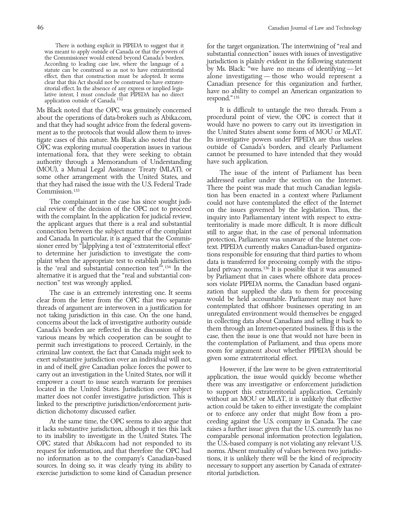about the operations of data-brokers such as Abika.com, procedural point of view, the OPC is correct that it and that they had sought advice from the federal govern- would have no powers to carry out its investigation in and that they had sought advice from the federal govern- would have no powers to carry out its investigation in<br>ment as to the protocols that would allow them to inves- the United States absent some form of MOU or MLAT. ment as to the protocols that would allow them to inves-OPC was exploring mutual cooperation issues in various international fora, that they were seeking to obtain cannot be presumed to have intended that they would authority through a Memorandum of Understanding have such application. (MOU), a Mutual Legal Assistance Treaty (MLAT), or<br>some other arrangement with the United States, and<br>that they had raised the issue with the U.S. Federal Trade<br>Commission.<sup>133</sup> Commission.<sup>133</sup>

clear from the letter from the OPC that two separate would be held accountable. Parliament may not have<br>threads of argument are interwoven in a justification for contemplated that offshore businesses operating in an threads of argument are interwoven in a justification for contemplated that offshore businesses operating in an<br>not taking jurisdiction in this case. On the one hand cunregulated environment would themselves be engaged not taking jurisdiction in this case. On the one hand, unregulated environment would themselves be engaged concerns about the lack of investigative authority outside in collecting data about Canadians and selling it back to Canada's borders are reflected in the discussion of the them through an Internet-operated business. If this is the<br>various means by which cooperation can be sought to case, then the issue is one that would not have been in various means by which cooperation can be sought to permit such investigations to proceed. Certainly, in the the contemplation of Parliament, and thus opens more<br>criminal law context, the fact that Canada might seek to room for argument about whether PIPEDA should be criminal law context, the fact that Canada might seek to room for argument about wheth exert substantive jurisdiction over an individual will not, given some extraterritorial effect.

it lacks substantive jurisdiction, although it ties this lack raises a further issue: given that the U.S. currently has no to its inability to investigate in the United States. The comparable personal information protection legislation, OPC stated that Abika.com had not responded to its the U.S.-based company is not violating any relevant U.S. request for information, and that therefore the OPC had norms. Absent mutuality of values between two jurisdicno information as to the company's Canadian-based tions, it is unlikely there will be the kind of reciprocity sources. In doing so, it was clearly tying its ability to necessary to support any assertion by Canada of extraterexercise jurisdiction to some kind of Canadian presence ritorial jurisdiction.

There is nothing explicit in PIPEDA to suggest that it<br>was meant to apply outside of Canada or that the powers of<br>the Commissioner would extend beyond Canada's borders.<br>According to leading case law, where the language of by Ms. Black: "we have no means of identifying — let effect, then that construction must be adopted. It seems alone investigating — those who would represent a clear that this Act should not be construed to have extrater-<br>ritorial effect. In the absence of any express or imp

Ms Black noted that the OPC was genuinely concerned It is difficult to untangle the two threads. From a<br>about the operations of data-brokers such as Abika.com, procedural point of view, the OPC is correct that it tigate cases of this nature. Ms Black also noted that the Its investigative powers under PIPEDA are thus useless<br>OPC was exploring mutual cooperation issues in various outside of Canada's borders, and clearly Parliament

tion has been enacted in a context where Parliament The complainant in the case has since sought judi-<br>
with the contemplated the effect of the Internet<br>
with the complaint. In the application for judical review in the capical review of the decision of the OPC not to procee The case is an extremely interesting one. It seems zation that supplied the data to them for processing<br>from the letter from the OPC that two separate would be held accountable. Parliament may not have

in and of itself, give Canadian police forces the power to<br>carry out an investigation in the United States, nor will it<br>empower a court to issue search warrants for premises<br>located in the United States. Jurisdiction over At the same time, the OPC seems to also argue that ceeding against the U.S. company in Canada. The case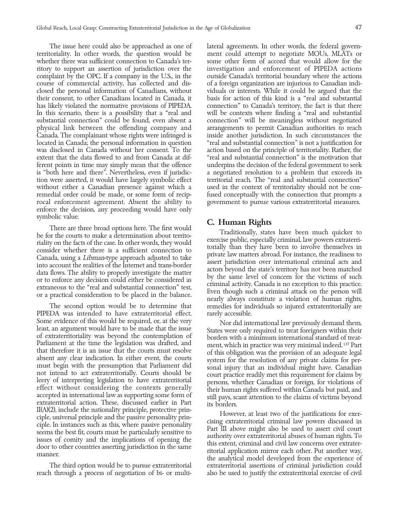territoriality. In other words, the question would be ment could attempt to negotiate MOUs, MLATs or whether there was sufficient connection to Canada's ter-<br>some other form of accord that would allow for the ritory to support an assertion of jurisdiction over the investigation and enforcement of PIPEDA actions complaint by the OPC. If a company in the U.S., in the outside Canada's territorial boundary where the actions course of commercial activity, has collected and dis- of a foreign organization are injurious to Canadian indiclosed the personal information of Canadians, without viduals or interests. While it could be argued that the their consent, to other Canadians located in Canada, it basis for action of this kind is a ''real and substantial has likely violated the normative provisions of PIPEDA. connection'' to Canada's territory, the fact is that there In this scenario, there is a possibility that a "real and will be contexts where finding a "real and substantial substantial connection'' could be found, even absent a connection'' will be meaningless without negotiated physical link between the offending company and arrangements to permit Canadian authorities to reach Canada. The complainant whose rights were infringed is inside another jurisdiction. In such circumstances the located in Canada; the personal information in question "real and substantial connection" is not a justification for was disclosed in Canada without her consent. To the action based on the principle of territoriality. Rather, the extent that the data flowed to and from Canada at dif- ''real and substantial connection'' is the motivation that ferent points in time may simply mean that the offence underpins the decision of the federal government to seek is ''both here and there''. Nevertheless, even if jurisdic- a negotiated resolution to a problem that exceeds its tion were asserted, it would have largely symbolic effect territorial reach. The ''real and substantial connection'' without either a Canadian presence against which a used in the context of territoriality should not be conremedial order could be made, or some form of recip- fused conceptually with the connection that prompts a rocal enforcement agreement. Absent the ability to government to pursue various extraterritorial measures. enforce the decision, any proceeding would have only

Symbolic value.<br>
There are three broad options here. The first would<br>
be for the courts to make a determination about territo-<br>
raditionally, states have been much quicker to<br>
raditionally, states have been much quicker to

PIPEDA was intended to have extraterritorial effect. rarely accessible. Some evidence of this would be required, or, at the very<br>least, an argument would have to be made that the issue<br>of extraterritoriality was beyond the contemplation of<br>Parliament at the time the legislation was drafted, an that therefore it is an issue that the courts must resolve<br>of this obligation was the provision of an adequate legal<br>absent any clear indication. In either event, the courts system for the resolution of any private claims

The issue here could also be approached as one of lateral agreements. In other words, the federal govern-

The second option would be to determine that remedies for individuals so injured extraterritorially are

The third option would be to pursue extraterritorial extraterritorial assertions of criminal jurisdiction could reach through a process of negotiation of bi- or multi- also be used to justify the extraterritorial exercise of civil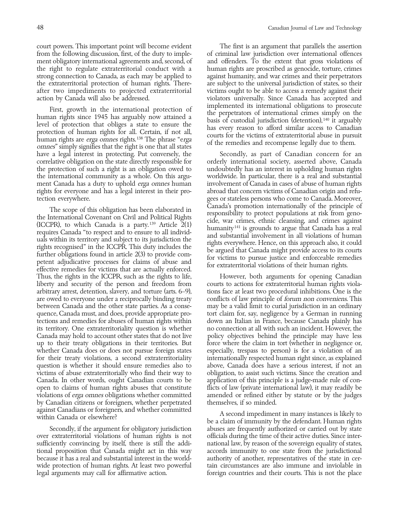from the following discussion, first, of the duty to imple- of criminal law jurisdiction over international offences ment obligatory international agreements and, second, of and offenders. To the extent that gross violations of the right to regulate extraterritorial conduct with a human rights are proscribed as genocide, torture, crimes strong connection to Canada, as each may be applied to against humanity, and war crimes and their perpetrators the extraterritorial protection of human rights. There- are subject to the universal jurisdiction of states, so their after two impediments to projected extraterritorial victims ought to be able to access a remedy against their

First, growth in the international protection of<br>human rights since 1945 has arguably now attained a<br>level of protection that obliges a state to ensure the<br>protection of human rights for all. Certain, if not all,<br>human rig have a legal interest in protecting. Put conversely, the Secondly, as part of Canadian concern for an correlative obligation on the state directly responsible for orderly international society, asserted above, Canada the protection of such a right is an obligation owed to undoubtedly has an interest in upholding human rights the international community as a whole. On this argu-nether worldwide. In particular, there is a real and substantial<br>ment Canada has a duty to uphold *erga omnes* humannet involvement of Canada in cases of abuse of human ment Canada has a duty to uphold *erga omnes* human involvement of Canada in cases of abuse of human rights<br>rights for everyone and has a legal interest in their pro- abroad that concern victims of Canadian origin and refu rights for everyone and has a legal interest in their protection everywhere. gees or stateless persons who come to Canada. Moreover,

The scope of this obligation has been elaborated in<br>the International Covenant on Civil and Political Rights<br>(ICCPR), to which Canada is a party.<sup>139</sup> Article 2(1)<br>requires Canada "to respect and to ensure to all individ-<br> Thus, the rights in the ICCPR, such as the rights to life, However, both arguments for opening Canadian liberty and security of the person and freedom from courts to actions for extraterritorial human rights violaarbitrary arrest, detention, slavery, and torture (arts. 6–9), tions face at least two procedural inhibitions. One is the are owed to everyone under a reciprocally binding treaty conflicts of law principle of *forum non conveniens*. This between Canada and the other state parties. As a conse- may be a valid limit to curial jurisdiction in an ordinary quence, Canada must, and does, provide appropriate pro- tort claim for, say, negligence by a German in running tections and remedies for abuses of human rights within down an Italian in France, because Canada plainly has<br>its territory. One extraterritoriality question is whether no connection at all with such an incident. However, its territory. One extraterritoriality question is whether Canada may hold to account other states that do not live policy objectives behind the principle may have less up to their treaty obligations in their territories. But force where the claim in tort (whether in negligence or, whether Canada does or does not pursue foreign states especially, trespass to person) is for a violation of an for their treaty violations, a second extraterritoriality internationally respected human right since, as explained question is whether it should ensure remedies also to above, Canada does have a serious interest, if not an victims of abuse extraterritorially who find their way to obligation, to assist such victims. Since the creation and Canada. In other words, ought Canadian courts to be application of this principle is a judge-made rule of conopen to claims of human rights abuses that constitute flicts of law (private international law), it may readily be violations of erga omnes obligations whether committed amended or refined either by statute or by the judges by Canadian citizens or foreigners, whether perpetrated themselves, if so minded.

over extraterritorial violations of human rights is not officials during the time of their active duties. Since intersufficiently convincing by itself, there is still the addi- national law, by reason of the sovereign equality of states, tional proposition that Canada might act in this way accords immunity to one state from the jurisdictional because it has a real and substantial interest in the world- authority of another, representatives of the state in cerwide protection of human rights. At least two powerful tain circumstances are also immune and inviolable in

court powers. This important point will become evident The first is an argument that parallels the assertion action by Canada will also be addressed. violators universally. Since Canada has accepted and

against Canadians or foreigners, and whether committed<br>
A second impediment in many instances is likely to<br>
be a claim of immunity by the defendant. Human rights Secondly, if the argument for obligatory jurisdiction abuses are frequently authorized or carried out by state legal arguments may call for affirmative action. foreign countries and their courts. This is not the place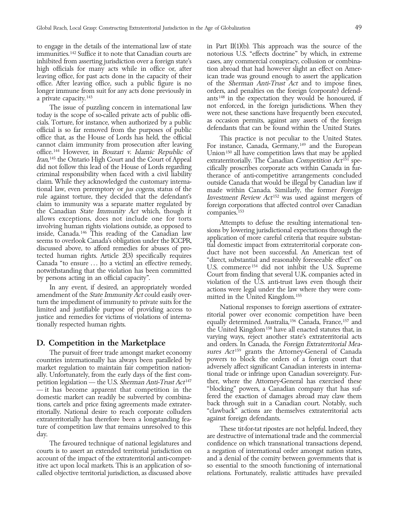high officials for many acts while in office or, after tion abroad that had however slight an effect on Amera private capacity.<sup>143</sup> ants<sup>148</sup> in the expectation they would be honoured, if

today is the scope of so-called private acts of public offi-<br>cials. Torture, for instance, when authorized by a public as occasion permits, against any assets of the foreign<br>official is so far removed from the purposes of office that, as the House of Lords has held, the official This practice is not peculiar to the United States.<br>
cannot claim immunity from prosecution after leaving For instance, Canada, Germany,<sup>149</sup> and the European<br>
offi

Examely Act could easily over-<br>
turn the impediment of immunity of private suits for the<br>
limited and justifiable purpose of providing access to<br>
justice and remedies for victims of violations of interna-<br>
tionally respect

— it has become apparent that competition in the ritorially. National desire to reach corporate colluders "clawback" actions are thextraterritorially has therefore been a longstanding fea-<br>extraterritorially has therefore been a longstanding fea-<br>gainst foreign defendant extraterritorially has therefore been a longstanding fea-

courts is to assert an extended territorial jurisdiction on a negation of international order amongst nation states, account of the impact of the extraterritorial anti-compet- and a denial of the comity between governments that is<br>itive act upon local markets. This is an application of so- so essential to the smooth functioning of intern called objective territorial jurisdiction, as discussed above relations. Fortunately, realistic attitudes have prevailed

to engage in the details of the international law of state in Part  $II(1)(b)$ . This approach was the source of the immunities.<sup>142</sup> Suffice it to note that Canadian courts are notorious U.S. "effects doctrine" by which, in extreme inhibited from asserting jurisdiction over a foreign state's cases, any commercial conspiracy, collusion or combinaleaving office, for past acts done in the capacity of their ican trade was ground enough to assert the application office. After leaving office, such a public figure is no of the Sherman Anti-Trust Act and to impose fines, longer immune from suit for any acts done previously in orders, and penalties on the foreign (corporate) defend-The issue of puzzling concern in international law hot enforced, in the foreign jurisdictions. When they<br>v is the scope of so-called private acts of public offi- were not, these sanctions have frequently been executed,

allows exceptions, does not include one for torts<br>involving human rights violations outside, as opposed to<br>inside, Canada.<sup>146</sup> This reading of the Canadian law<br>signs by lowering jurisdictional expectations through the<br>ins

varying ways, reject another state's extraterritorial acts D. Competition in the Marketplace and orders. In Canada, the Foreign Extraterritorial Mea-The pursuit of freer trade amongst market economy sures Act<sup>159</sup> grants the Attorney-General of Canada<br>tries internationally has always been paralleled by powers to block the orders of a foreign court that countries internationally has always been paralleled by powers to block the orders of a foreign court that market regulation to maintain fair competition nation- adversely affect significant Canadian interests in internaally. Unfortunately, from the early days of the first com-<br>petition legislation — the U.S. *Sherman Anti-Trust Act*<sup>147</sup> ther, where the Attorney-General has exercised these petition legislation — the U.S. *Sherman Anti-Trust Act*<sup>147</sup> ther, where the Attorney-General has exercised these<br>— it has become apparent that competition in the "blocking" powers, a Canadian company that has sufdomestic market can readily be subverted by combina-<br>tions, cartels and price fixing agreements made extrater-<br>back through suit in a Canadian court. Notably, such tions, cartels and price fixing agreements made extrater- back through suit in a Canadian court. Notably, such

ture of competition law that remains unresolved to this These tit-for-tat ripostes are not helpful. Indeed, they day. The favoured technique of national legislatures and confidence on which transnational transactions depend, so essential to the smooth functioning of international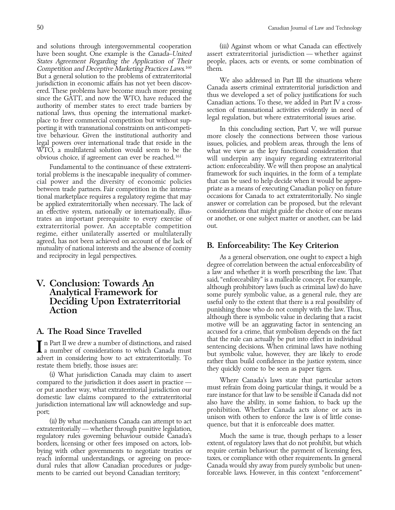Competition and Deceptive Marketing Practices Laws. But a general solution to the problems of extraterritorial<br>jurisdiction in economic affairs has not yet been discov-<br>ered. These problems have become much more pressing<br>since the GATT, and now the WTO, have reduced the<br>aut porting it with transnational constraints on anti-competi- In this concluding section, Part V, we will pursue tive behaviour. Given the institutional authority and more closely the connections between those various legal powers over international trade that reside in the issues, policies, and problem areas, through the lens of legal powers over international trade that reside in the issues, policies, and problem areas, through the lens of<br>WTO, a multilateral solution would seem to be the syntaxies when we view as the key functional consideration

torial problems is the inescapable inequality of commer- framework for such inquiries, in the form of a template cial power and the diversity of economic policies that can be used to help decide when it would be appro-<br>between trade partners. Fair competition in the interna-priate as a means of executing Canadian policy on future between trade partners. Fair competition in the interna- priate as a means of executing Canadian policy on future tional marketplace requires a regulatory regime that may be applied extraterritorially when necessary. The lack of answer or correlation can be proposed, but the relevant<br>an effective system, nationally or internationally, illus-considerations that might guide the choice of one an effective system, nationally or internationally, illustrates an important prerequisite to every exercise of or another, or one subject matter or another, can be laid extraterritorial power. An acceptable competition out. regime, either unilaterally asserted or multilaterally agreed, has not been achieved on account of the lack of mutuality of national interests and the absence of comity  $\qquad \qquad B.$  Enforceability: The Key Criterion

regulatory rules governing behaviour outside Canada's Much the same is true, though perhaps to a lesser borders, licensing or other fees imposed on actors, lob- extent, of regulatory laws that do not prohibit, but which bying with other governments to negotiate treaties or reach informal understandings, or agreeing on proce- taxes, or compliance with other requirements. In general dural rules that allow Canadian procedures or judge- Canada would shy away from purely symbolic but unen-<br>ments to be carried out bevond Canadian territory: forceable laws. However, in this context "enforcement ments to be carried out beyond Canadian territory;

and solutions through intergovernmental cooperation (iii) Against whom or what Canada can effectively have been sought. One example is the Canada*–*United assert extraterritorial jurisdiction — whether against States Agreement Regarding the Application of Their people, places, acts or events, or some combination of them.

WTO, a multilateral solution would seem to be the what we view as the key functional consideration that obvious choice, if agreement can ever be reached.<sup>161</sup> will underpin any inquiry regarding extraterritorial Fundamental to the continuance of these extraterri-<br>1 problems is the inescapable inequality of commer-<br>1 problems is the form of a template

and reciprocity in legal perspectives. As a general observation, one ought to expect a high degree of correlation between the actual enforceability of a law and whether it is worth prescribing the law. That V. Conclusion: Towards An<br>Analytical Framework for although prohibitory laws (such as criminal law) do have<br>some purely symbolic value, as a general rule, they are **Deciding Upon Extraterritorial** useful only to the extent that there is a real possibility of Action **Pullace 2 Constant Constant Constant Constant Constant Constant Constant Constant Constant Constant Constant Constant Constant Constant Constant Constant Constant Constant Constant Constant Constant Constant Cons** although there is symbolic value in declaring that a racist motive will be an aggravating factor in sentencing an **A. The Road Since Travelled** accused for a crime, that symbolism depends on the fact that  $\mathbf{F}$  a Dentify  $\mathbf{F}$  and  $\mathbf{F}$  are particle in the fact the rule can actually be put into effect in individual

The part II we drew a number of distinctions, and raised<br>
a number of considerations to which Canada must<br>
anumber of considerations to which Canada must<br>
but symbolic value, however, they are likely to erode<br>
advert in co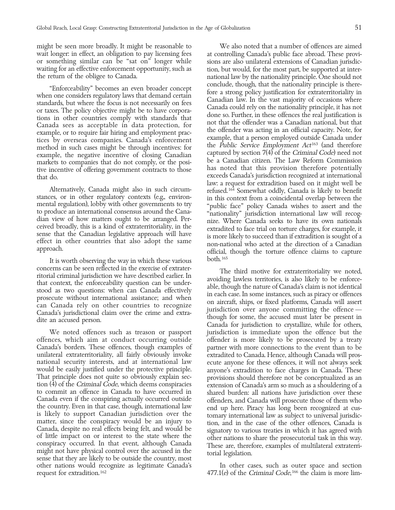might be seen more broadly. It might be reasonable to We also noted that a number of offences are aimed wait longer: in effect, an obligation to pay licensing fees at controlling Canada's public face abroad. These provi-<br>or something similar can be "sat on" longer while sions are also unilateral extensions of Canadian jurisd waiting for an effective enforcement opportunity, such as tion, but would, for the most part, be supported at inter-

method in such cases might be through incentives: for<br>example, the negative incentive of closing Canadian<br>markets to companies that do not comply or the posi-<br>be a Canadian citizen. The Law Reform Commission markets to companies that do not comply, or the posi-<br>tive incentive of offering government contracts to those has noted that this provision therefore potentially

It is worth observing the way in which these various both.<sup>165</sup>

offences, which aim at conduct occurring outside offender is more likely to be prosecuted by a treaty Canada's borders. These offences, though examples of partner with more connections to the event than to be unilateral extraterritoriality, all fairly obviously invoke extradited to Canada. Hence, although Canada will proswould be easily justified under the protective principle. anyone's extradition to face charges in Canada. These That principle does not quite so obviously explain section (4) of the Criminal Code, which deems conspiracies and carrelation of Canada's arm so much as a shouldering of a<br>commit an offence in Canada to have occurred in Ca other nations would recognize as legitimate Canada's In other cases, such as outer space and section request for extradition.<sup>162</sup>  $477.1(e)$  of the *Criminal Code*,<sup>166</sup> the claim is more lim-

sions are also unilateral extensions of Canadian jurisdicthe return of the obligee to Canada. The national law by the nationality principle. One should not "Enforceability" becomes an even broader concept<br>when one considers regulatory laws that demand certain<br>standards, but where the focus is not necessarily on fees<br>or taxes. The policy objective might be to have corpora-<br>or tive incentive of offering government contracts to those that this provision therefore potentially that do.<br>that do. exceeds Canada's jurisdiction recognized at international law: a request for extradition based on it migh Alternatively, Canada might also in such circum-<br>
stances, or in other regulatory contexts (e.g., environ-<br>
mental regulation), lobby with other governments to try<br>
to produce an international consensus around the Cana-<br>
d

concerns can be seen reflected in the exercise of extrater-<br>itorial criminal jurisdiction we have described earlier. In<br>that context, the enforceability question can be under-<br>stood as two questions: when can Canada effect We noted offences such as treason or passport jurisdiction is immediate upon the offence but the ecute anyone for these offences, it will not always seek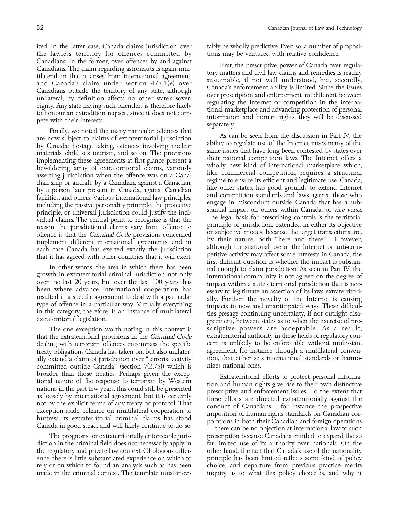the lawless territory for offences committed by tions may be ventured with relative confidence.

by Canada: hostage taking, offences involving nuclear<br>materials, child sex tourism, and so on. The provisions same issues that have long been contested by states over<br>implementing these agreements at first glance present a

that the extraterritorial provisions in the *Criminal Code* extraterritorial authority in these fields of regulatory con-<br>dealing with terrorism offences encompass the specific error is unlikely to be enforceable without m dealing with terrorism offences encompass the specific cern is unlikely to be enforceable without multi-state<br>treaty obligations Canada has taken on, but also unilater- agreement, for instance through a multilateral conven treaty obligations Canada has taken on, but also unilater-consequent agreement, for instance through a multilateral conven-<br>ally extend a claim of jurisdiction over "terrorist activity tion, that either sets international ally extend a claim of jurisdiction over "terrorist activity tion, that either set<br>committed outside Canada" (section 7(3.75)) which is a nizes national ones. committed outside Canada" (section  $7(3.75)$ ) which is

diction in the criminal field does not necessarily apply in far limited use of its authority over nationals. On the the regulatory and private law context. Of obvious differ- other hand, the fact that Canada's use of the nationality ence, there is little substantiated experience on which to principle has been limited reflects some kind of policy rely or on which to found an analysis such as has been choice, and departure from previous practice merits

ited. In the latter case, Canada claims jurisdiction over tably be wholly predictive. Even so, a number of proposi-

Canadians: in the former, over offences by and against<br>Canadians. The claim regarding astronauta is again mull-<br>tilateral, in that it arises from international agreement,<br>and Canada's claim under section 477.1(e) over<br>cana

implementing these agreements at first glance present a<br>
their national competition laws. The Internet offers a<br>
beholly new kind of international marketplace which,<br>
bestudiering jurisdiction when the offerce was on a Can The one exception worth noting in this context is scriptive powers are acceptable. As a result, the extraterritorial authority in these fields of regulatory con-

broader than those treaties. Perhaps given the exceptional nature of the response to terrorism by Western<br>mations in the past few years, this could still be presented<br>as loosely by international agreement, but it is certai The prognosis for extraterritorially enforceable juris- prescription because Canada is entitled to expand the so made in the criminal context. The template must inevi- inquiry as to what this policy choice is, and why it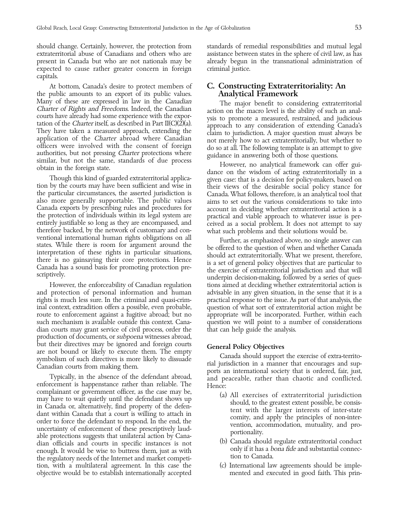expected to cause rather greater concern in foreign criminal justice. capitals.

the public amounts to an export of its public values. **Analytical Framework** Many of these are expressed in law in the *Canadian*<br>Charter of Rights and Freedoms Indeed, the Canadian<br>Counts have already had some experience with the expor-<br>station on the macro level is the ability of such an anal-<br>co

Canada exports by prescribing rules and procedures for<br>the protection of individuals within its legal system are<br>entirely justifiable so long as they are encompassed, and<br>therefore backed, by the network of customary and c

inal context, extradition offers a possible, even probable, question of what sort of extraterritorial action might be dian courts may grant service of civil process, order the that can help guide the analysis. production of documents, or subpoena witnesses abroad,

complainant or government officer, as the case may be,<br>
in Canada or, alternatively, find property of the defen-<br>
dant within Canada that a court is willing to attach in<br>
order to force the defendant to respond. In the end tion, with a multilateral agreement. In this case the (c) International law agreements should be impleobjective would be to establish internationally accepted mented and executed in good faith. This prin-

should change. Certainly, however, the protection from standards of remedial responsibilities and mutual legal extraterritorial abuse of Canadians and others who are assistance between states in the sphere of civil law, as has present in Canada but who are not nationals may be already begun in the transnational administration of

## At bottom, Canada's desire to protect members of C. Constructing Extraterritoriality: An

However, the enforceability of Canadian regulation tions aimed at deciding whether extraterritorial action is and protection of personal information and human advisable in any given situation, in the sense that it is a rights is much less sure. In the criminal and quasi-crim- practical response to the issue. As part of that analysis, the route to enforcement against a fugitive abroad; but no appropriate will be incorporated. Further, within each such mechanism is available outside this context. Cana- question we will point to a number of considerations

but their directives may be ignored and foreign courts<br>are not bound or likely to execute them. The empty<br>symbolism of such directives is more likely to dissuade<br>Canada should support the exercise of extra-territo-<br>rial ju

- 
- 
-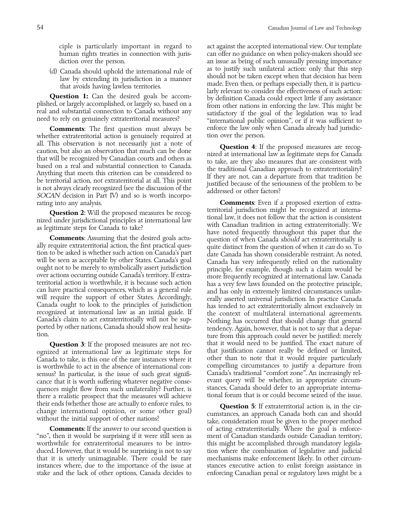whether extraterritorial action is genuinely required at all. This observation is not necessarily just a note of<br>caution, but also an observation that much can be done<br>that will be recognized by Canadian courts and others as<br>based on a real and substantial connection to Canada<br>A rating into any analysis. **Comments**: Even if a proposed exertion of extra-

ognized at international law as legitimate steps for that justification cannot really be defined or limited,<br>Canada-to-take is this one of the rare instances where it the other than to note that it would require particular Canada to take, is this one of the rare instances where it is worthwhile to act in the absence of international con- compelling circumstances to justify a departure from sensus? In particular, is the issue of such great signifi-<br>cance that it is worth suffering whatever negative conse-<br>evant query will be whether, in appropriate circumcance that it is worth suffering whatever negative consequences might flow from such unilaterality? Further, is stances, Canada should defer to an appropriate interna-<br>there a realistic prospect that the measures will achieve tional forum that is or could become seized of the i there a realistic prospect that the measures will achieve.

''no'', then it would be surprising if it were still seen as ment of Canadian standards outside Canadian territory, worthwhile for extraterritorial measures to be intro- this might be accomplished through mandatory legisladuced. However, that it would be surprising is not to say tion where the combination of legislative and judicial that it is utterly unimaginable. There could be rare mechanisms make enforcement likely. In other circum-<br>instances where, due to the importance of the issue at stances executive action to enlist foreign assistance in instances where, due to the importance of the issue at stake and the lack of other options, Canada decides to enforcing Canadian penal or regulatory laws might be a

ciple is particularly important in regard to act against the accepted international view. Our template human rights treaties in connection with juris- can offer no guidance on when policy-makers should see diction over the person. **and a** issue as being of such unusually pressing importance (d) Canada should uphold the international rule of<br>law by extending its jurisdiction in a manner<br>that avoids having lawless territories.<br>**Question 1:** Can the desired goals be accom-<br>plished, or largely accomplished, or la **Comments**: The first question must always be enforce the law only when Canada already had jurisdiction extraterritorial action is genuinely required at tion over the person.

**Question 2:** Will the proposed measures be recog-<br>nized under jurisdictional principles at international law, it does not follow that the action is consistent<br>as legitimate steps for Canada to take?<br>**Comments**: Assuming t ion to be asked is whether such action on Canada's part<br>
will be seen as acceptable by other States. Canada's goal<br>
ought not to be merely to symbolically assert jurisdiction<br>
over actions occurring outside Canada's territ **Question 3**: If the proposed measures are not rec-<br>zed at international law as legitimate steps for that justification cannot really be defined or limited,

their ends (whether those are actually to enforce rules, to change international opinion, or some other goal) without the initial support of other nations?<br>Westlingther action 5: If extraterritorial action is, in the circu **Comments:** If the answer to our second question is of acting extraterritorially. Where the goal is enforce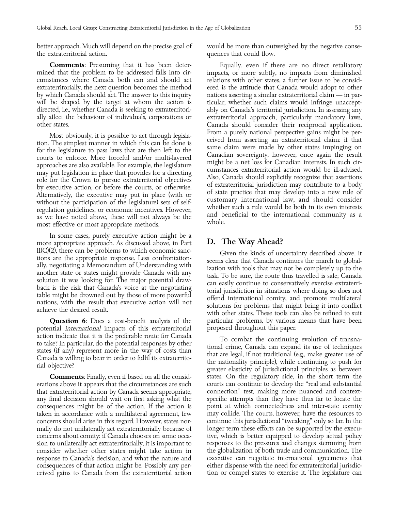better approach. Much will depend on the precise goal of would be more than outweighed by the negative consethe extraterritorial action. quences that could flow.

mined that the problem to be addressed falls into cir- impacts, or more subtly, no impacts from diminished

as we have noted above, these will not always be the and becomes effective or most appropriate methods.

In some cases, purely executive action might be a more appropriate approach. As discussed above, in Part  $\quad$  D. The Way Ahead?

potential *international* impacts of this extraterritorial

concerns should arise in this regard. However, states norconsider whether other states might take action in ceived gains to Canada from the extraterritorial action tion or compel states to exercise it. The legislature can

**Comments:** Presuming that it has been deter- Equally, even if there are no direct retaliatory cumstances where Canada both can and should act relations with other states, a further issue to be considextraterritorially, the next question becomes the method ered is the attitude that Canada would adopt to other by which Canada should act. The answer to this inquiry nations asserting a similar extraterritorial claim — in par-<br>will be shaped by the target at whom the action is ticular, whether such claims would infringe unacceptticular, whether such claims would infringe unacceptdirected, i.e., whether Canada is seeking to extraterritori- ably on Canada's territorial jurisdiction. In assessing any ally affect the behaviour of individuals, corporations or extraterritorial approach, particularly man ally affect the behaviour of individuals, corporations or extraterritorial approach, particularly mandatory laws, Canada should consider their reciprocal application. Most obviously, it is possible to act through legisla-<br>
tion. The simplest manner in which this can be done is<br>
from a purely national perspective gains might be per-<br>
ceived from asserting an extraterritorial claim: if th

II(C)(2), there can be problems to which economic sanc-<br>
illy regotiating a Memorandum of Understanding with<br>
another state or states might provide Canada with any<br>
seems clear that Canada continues the march to global-<br>
i **Question 6**: Does a cost-benefit analysis of the particular problems, by various means that have been ntial *international* impacts of this extraterritorial proposed throughout this paper.

action indicate that it is the preferable route for Canada<br>to take? In particular, do the potential responses by other<br>states (if any) represent more in the way of costs than<br>Canada is willing to bear in order to fulfil it **Comments:** Finally, even if based on all the consid-<br>states. On the regulatory side, in the short term the erations above it appears that the circumstances are such courts can continue to develop the ''real and substantial that extraterritorial action by Canada seems appropriate, connection'' test, making more nuanced and contextany final decision should wait on first asking what the specific attempts than they have thus far to locate the consequences might be of the action. If the action is point at which connectedness and inter-state comity taken in accordance with a multilateral agreement, few may collide. The courts, however, have the resources to mally do not unilaterally act extraterritorially because of longer term these efforts can be supported by the execuconcerns about comity: if Canada chooses on some occa- tive, which is better equipped to develop actual policy sion to unilaterally act extraterritorially, it is important to responses to the pressures and changes stemming from<br>consider whether other states might take action in the globalization of both trade and communication. The response to Canada's decision, and what the nature and executive can negotiate international agreements that consequences of that action might be. Possibly any per- either dispense with the need for extraterritorial jurisdic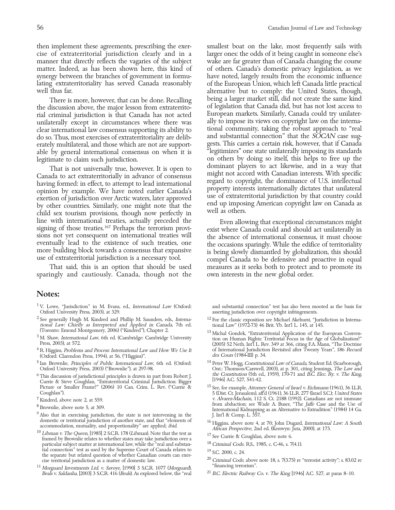well thus far. **alternative but to comply:** the United States, though, the discussion above, the major lesson from extraterrito- of legislation that Canada did, but has not lost access to rial criminal jurisdiction is that Canada has not acted lear person markets. Similarly, Canada could try unilater-<br>Inilaterally except in circumstances where there was lally to impose its views on copyright law on the inte unilaterally except in circumstances where there was ally to impose its views on copyright law on the interna-<br>clear international law consensus supporting its ability to tional community, taking the robust approach to "re clear international law consensus supporting its ability to do so. Thus, most exercises of extraterritoriality are delib-<br>erately multilateral, and those which are not are support-<br>gests. This carries a certain risk, however, that if Canada able by general international consensus on when it is

That is not universally true, however. It is open to<br>
Canada to act extraterritorially in advance of consensus<br>
having formed: in effect, to attempt to lead international<br>
opinion by example. We have noted earlier Canada's

sparingly and cautiously. Canada, though not the own interests in the new global order.

### Notes:

- <sup>1</sup> V. Lowe, "Jurisdiction" in M. Evans, ed., *International Law* (Oxford: and substantial connection" test has also been mooted as the basis for Oxford University Press, 2003), at 329. asserting jurisdiction over copyright infringements.
- <sup>2</sup> See generally Hugh M. Kindred and Phillip M. Saunders, eds., *Interna* <sup>12</sup> For the classic exposition see Michael Akehurst, "Jurisdiction in Interna-<br>tional Law: (1972-73) 46 Brit. Yb. Int'l L. 145, at 145. tional Law: Chiefly as Interpreted and Applied in Canada, 7th ed. (Toronto: Emond Montgomery, 2006) ("Kindred"), Chapter 2.
- 
- <sup>4</sup> R. Higgins, *Problems and Process: International Law and How We Use It* of International Jurisdiction (Oxford: Clarendon Press. 1994). at 56. ("Higgins)". (Oxford: Clarendon Press, 1994), at 56, ("Higgins)".
- <sup>5</sup> Ian Brownlie, *Principles of Public International Law*, 6th ed. (Oxford:  $14$  Peter W. Hogg, Constitutional Law of Canada, Student Ed. (Scarborough, Oxford University Press, 2003) ("Brownlie"), at 297-98. Ont: Thomson
- <sup>6</sup>This discussion of jurisdictional principles is drawn in part from Robert J. *Ine Constitution* (5th ed Currie & Steve Coughlan, "Extraterritorial Criminal Jurisdiction: Bigger [1946] A.C. 527, 541-42.<br>Picture or Small Picture or Smaller Frame?" (2006) 10 Can. Crim. L. Rev. ("Currie & <sup>15</sup> See, for example, *Attorney General of Israel v. Eichmann* (1961), 36 LLR. Coughlan"). The States COUGHLA Coughlan"). The State Scale Scale Scale Scal
- 
- 
- 
- domestic or territorial jurisdiction of another state, and that "elements of the Higgins, above note 4, at 70; John Dugard, International Law: A South accommodation, mutuality, and proportionality" are applied; *ibid.* A f framed by Brownlie relates to whether states may take jurisdiction over a particular subject matter at international law, while the "real and substan- tial connection" test as used by the Supreme Court of Canada relates to tial connection" test as used by the Supreme Court of Canada relates to<br>the separate but related question of whether Canadian courts can exer-<br>the separate but related question as a matter of domestic law.<br> $\frac{20 \text{ Criminal Code}}{\text{minimal$
- <sup>11</sup> Morguard Investments Ltd. v. Savoye, [1990] 3 S.C.R. 1077 (Morguard), Beals v. Saldanha, [2003] 3 S.C.R. 416 (Beals). As explored below, the "real

then implement these agreements, prescribing the exer- smallest boat on the lake, most frequently sails with cise of extraterritorial jurisdiction clearly and in a larger ones: the odds of it being caught in someone else's manner that directly reflects the vagaries of the subject wake are far greater than of Canada changing the course matter. Indeed, as has been shown here, this kind of of others. Canada's domestic privacy legislation, as we synergy between the branches of government in formu-have noted, largely results from the economic influence<br>lating extraterritoriality has served Canada reasonably of the European Union, which left Canada little practical of the European Union, which left Canada little practical There is more, however, that can be done. Recalling being a larger market still, did not create the same kind<br>discussion above, the maior lesson from extraterrito-of legislation that Canada did, but has not lost access to erately multilateral, and those which are not are support- gests. This carries a certain risk, however, that if Canada<br>able by general international consensus on when it is "legitimizes" one state unilaterally imposing its legitimate to claim such jurisdiction. on others by doing so itself, this helps to free up the<br>That is not universally true however. It is onen to dominant players to act likewise, and in a way that

line with international treaties, actually preceded the<br>signing of those treaties.<sup>167</sup> Perhaps the terrorism provi-<br>sions not yet consequent on international treaties will<br>eventually lead to the existence of such treaties That said, this is an option that should be used measures as it seeks both to protect and to promote its

- 
- (Toronto: Emond Montgomery, 2006) ("Kindred"), Chapter 2. (2005)  $\frac{13}{2}$  Michal Gondek, "Extraterritorial Application of the European Conven-<br><sup>3</sup> M. Shaw, *International Law*, 6th ed. (Cambridge: Cambridge University (
	- Ont.: Thomson/Carswell, 2003), at p. 301, citing Jennings, *The Law and* the Constitution (5th ed., 1959), 170-71 and *B.C. Elec. Ry. v. The King*,
- Coughlan").<br>
5 (Dist. Ct. Jerusalem), aff'd (1961), 36 I.L.R. 277 (Israel S.C.); United States<br>
7 Kindred, above note 2, at 559.<br>
7 Kindred, above note 2, at 559. v. Alvarez-Machain, 112 S. Ct. 2188 (1992). Canadians are not immune from abduction; see Wade A. Buser, "The *Jaffe* Case and the Use of <sup>8</sup> Brownlie, above note 5, at 309.<br><sup>9</sup> Also that in exercising jurisdiction, the state is not intervening in the<br><sup>9</sup> Also that in exercising jurisdiction, the state is not intervening in the<br>domestic or territorial jurisd
	-
	-
	-
	-
	-
	- $^{21}$  B.C. Electric Railway Co. v. The King [1946] A.C. 527, at paras 8–10.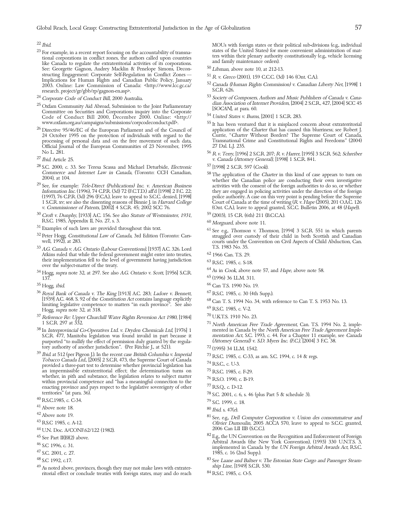- $^{23}$  For example, in a recent report focusing on the accountability of transnational states of the United States) for more convenient administration or matrional corporations in conflict zones, the authors called upon c See: Georgette Gagnon, Audrey Macklin & Penelope Simons, Decon-<br>structing Engagement: Corporate Self-Regulation in Conflict Zones structing Engagement: Corporate Self-Regulation in Conflict Zones —<br>
Implications for Human Rights and Canadian Public Policy, January<br>
2003. Online: Law Commission (Canada: Anttp://www.lcc.gc.ca/
52 Canada (Human Rights C research\_project/gr/gbb/rp/gagnon-en.asp>.
- 
- <sup>25</sup> Oxfam Community Aid Abroad, Submission to the Joint Parliamentary<br>
Committee on Securities and Corporations inquiry into the Corporate<br>
Code of Conduct Bill 2000, December 2000. Online: <http:// <sup>54</sup> United States v. Code of Conduct Bill 2000, December 2000. Online: <http://www.oxfam.org.au/campaigns/submissions/corpcodeconduct.pdf>.
- $\frac{26}{24}$  Directive 95/46/EC of the European Parliament and of the Council of 24 October 1995 on the protection of individuals with regard to the Official Journal of the European Communities of 23 November, 1995 27 Dal. L.J. 235.
- 
- <sup>28</sup> S.C. 2000, c. 33. See Teresa Scassa and Michael Deturbide, *Electronic* <sup>57</sup> [1998] 2 S.C.R. 597 (*Cook*). Commerce and Internet Law in Canada, (Toronto: CCH Canadian, 58 The annlication of the *Ch*
- 
- <sup>30</sup> Croft v. Dunphy, [1933] A.C. 156. See also *Statute of Westminster, 1931*,  $\begin{array}{r} 59 \text{ (2003), 15 C.R. (6th) 211 (B.C.C.A.)} \ \text{R.S.C. 1985, Appendix II, No. 27, s. 3.} \end{array}$
- 
- 
- $^{33}$  A.G. Canada v. A.G. Ontario (Labour Conventions), [1937] A.C. 326. Lord T.S. 1983 No. 35.<br>Atkins ruled that while the federal government might enter into treaties,  $^{62}$  1966 Can. T.S. 29. Atkins ruled that while the federal government might enter into treaties, their implementation fell to the level of government having jurisdiction
- their implementation fell to the level of government having jurisdiction<br>over the subject-matter of the treaty.<br><sup>34</sup> Hogg, *supra* note 32, at 297. See also A.G. Ontario v. Scott, [1956] S.C.R.<br><sup>64</sup> As in Cook, above note
- 
- <sup>35</sup> Hogg, ibid. <sup>66</sup> Can T.S. 1990 No. 19.<br><sup>36</sup> Royal Bank of Canada v. The King [1913] A.C. 283; Ladore v. Bennett, <sup>67</sup> R.S.C. 1985, c. 30 (4th Supp.). <sup>36</sup> Royal Bank of Canada v. The King [1913] A.C. 283; Ladore v. Bennett, [1939] A.C. 468. S. 92 of the Constitution Act contains language explicitly (1939) A.C. 468. S. 92 of the Constitution Act contains language explicitly<br>limiting legislative competence to matters "in each province". See also  $^{68}$  Can T. S. 1994 No. 34, with reference to Can T. S. 1953 No. 13.<br>Ho
- $^{37}$  Reference Re: Upper Churchill Water Rights Reversion Act 1980, [1984]  $\,$  1 S.C.R. 297 at 332.
- S.C.R. 477, Manitoba legislation was found invalid in part because it mentation Act, S.C. 1993, c. 44. For a Chapter 11 example, purported "to nullify the effect of permission duly granted by the regula- (Attorney General) purported "to nullify the effect of permission duly granted by the regula- (Attorney General) v. S. tory authority of another jurisdiction". (Per Ritchie J., at 521).  $12$  (1995) 34 I.L.M. 1542. tory authority of another jurisdiction". (Per Ritchie J., at 521).
- <sup>39</sup> Ibid. at 512 (per Pigeon J.). In the recent case *British Columbia v. Imperial 73* R.S.C. 1985, c. C-33, as am. S.C. 1994, c. 14 & regs.<br> *Tobacco Canada Ltd.*, [2005] 2 S.C.R. 473, the Supreme Court of Canada *7*<sup></sup> an impermissible extraterritorial effect; the determination turns on whether, in pith and substance, the legislation relates to subject matter<br>within provincial competence and "has a meaningful connection to the<br>enacting province and pays respect to the legislative sovereignty of other<br>terr
- 
- 
- 
- 
- 44 U.N. Doc. A/CONF.62/122 (1982).
- 
- 
- 
- 
- <sup>49</sup> As noted above, provinces, though they may not make laws with extrater-<br>itional effect or conclude treaties with foreign states, may and do reach  $84$  RS.C. 1985, c. O-5. ritorial effect or conclude treaties with foreign states, may and do reach

 $^{22}$  Ibid.<br><sup>22</sup> Ibid. MOUs with foreign states or their political sub-divisions (e.g., individual states of the United States) for more convenient administration of mat-

- 
- 
- 
- <sup>53</sup> Society of Composers, Authors and Music Publishers of Canada v. Cana-<br>25 Orfore Composers (2004) 2 S.C.R., 427, [2004] SCC 45
	-
	- $55$  It has been ventured that it is misplaced concern about extraterritorial application of the Charter that has caused this blurriness; see Robert J. Currie, "Charter Without Borders? The Supreme Court of Canada, Transnational Crime and Constitutional Rights and Freedoms" (2004) processing of personal data and on the free movement of such data, Transnational Crime and Constitutional Rights and Freedoms'' (2004)
- No L. 281. 56 R v. Terry, [1996] 2 S.C.R. 207; R v. Harrer, [1995] 3 S.C.R. 562; Schreiber v. Canada (Attorney General), [1998] 1 S.C.R. 841. <sup>27</sup> Ibid. Article 25.
	-
- Commerce and Internet Law in Canada, (Toronto: CCH Canadian, 58 The application of the Charter in this kind of case appears to turn on whether the Canadian police are conducting their own investigative 29 See, for example: See, for example: *Tele-Direct (Publications) Inc. v. American Business* activities with the consent of the foreign authorities to do so, or whether *Information Inc.* (1996), 74 C.P.R. (3d) 72 (F.C.T.D.) aff'd [1998] 2 F. they are engaged in policing activities under the direction of the foreign police authority. A case on this very point is pending before the Supreme (1997), 76 C.P.R. (3d) 296 (F.C.A.), leave to appeal to S.C.C. denied, [1998] police authority. A case on this very point is pending before the Supreme 1 S.C.R. xv; see also the dissenting reasons of Binnie J. in Harvard College Court of Canada at the time of writing (R v. Hape (2005), 201 O.A.C. 126 (Ont. C.A.), leave to appeal granted, S.C.C. Bulletin 2006, at 48 (Hape)).
	-
	-
- R.S.C. 1985, Appendix II, No. 27, s. 3. 60<br><sup>31</sup> Examples of such laws are provided throughout this text.<br><sup>31</sup> Examples of such laws are provided throughout this text.<br><sup>32</sup> Peter Hogg, *Constitutional Law of Canada*, 3rd Ed well, 1992), at 283. courts under the Convention on Civil Aspects of Child Abduction, Can.
	-
	-
	-
	-
	-
	-
	-
	-
	-
- $177$  North American Free Trade Agreement, Can. T.S. 1994 No. 2, implemented in Canada by the North American Free Trade Agreement Imple-<sup>38</sup> In Interprovincial Co-Operatives Ltd. v. Dryden Chemicals Ltd, [1976] 1 mented in Canada by the North American Free Trade Agreement Imple-<br>S.C.R. 477, Manitoba legislation was found invalid in part because it mentatio
	-
	-
	-
	-
	-
	-
	-
	-
	-
	-
- territories" (at para. 36).<br>
<sup>40</sup> RS.C.1985, c. C-34.<br>
<sup>41</sup> RS.C.1985, c. C-34.<br>
<sup>41</sup> Above note 18.<br>
<sup>42</sup> Above note 19.<br>
<sup>42</sup> Above note 19.<br>
<sup>43</sup> RS.C 1985, c. A-12.<br>
<sup>43</sup> RS.C 1985, c. A-12.<br>
<sup>43</sup> RS.C 1985, c. A-12.<br>
- <sup>45</sup> See Part II(B)(2) above.<br><sup>82</sup> E.g., the UN Convention on the Recognition and Enforcement of Foreign<br>46 S.C 1996, c. 31.<br><sup>46</sup> S.C. 2001. c. 27.<br><sup>47</sup> S.C. 2001. c. 27.<br><sup>47</sup> S.C. 2001. c. 27. 1985, c. 16 (2nd Supp.).
- <sup>48</sup> S.C 1992, c.17.<br><sup>83</sup> See Laane and Baltser v. The Estonian State Cargo and Passenger Steam-<br><sup>49</sup> As noted above provinces though they may not make laws with extrater.<br><sup>49</sup> As noted above provinces though they may not
	-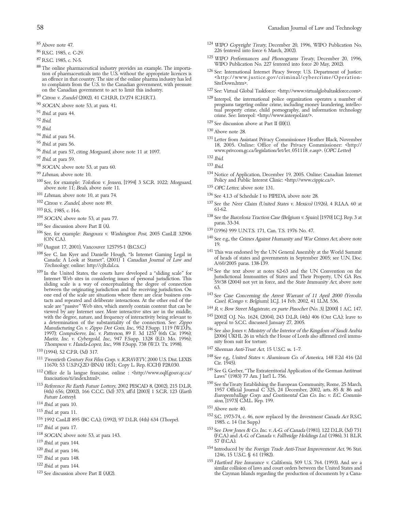- 
- 
- <sup>87</sup> R.S.C. 1985, c. C-29.<br><sup>87</sup> R.S.C. 1985, c. N-5.<br><sup>87</sup> R.S.C. 1985, c. N-5.<br><sup>87</sup> R.S.C. 1985, c. N-5.<br><sup>87</sup> R.S.C. 1985, c. N-5.<br><sup>87</sup> R.S.C. 1985, c. N-5.<br><sup>87</sup> R.S.C. 1985, c. N-5.<br><sup>125</sup> WIPO Performances and Phonograms on the Canadian government to act to limit this industry.<br>
<sup>89</sup> Citron v. Zundel (2002), 41 C.H.R.R. D/274 (C.H.R.T.).<br>
<sup>89</sup> Citron v. Zundel (2002), 41 C.H.R.R. D/274 (C.H.R.T.).
- 
- 
- 
- 
- 
- 
- 
- 
- 
- <sup>97</sup> Ibid. at para 59. <sup>132</sup> Ibid. <sup>132</sup> Ibid. <sup>132</sup> Ibid. <sup>133</sup> Ibid. <sup>133</sup> Ibid.  $98$  SOCAN, above note 53, at para 60.
- 
- 100 See, for example: *Tolofson v. Jensen*, [1994] 3 S.C.R. 1022; *Morguard*, Policy and Public Interest Clinic: <http://www.cippic.ca/>. above note 11; Beals, above note 11.  $135$  OPC Letter, above note 131.
- 
- 
- 
- 
- 
- 
- 
- 
- <sup>107</sup> (August 17, 2001), Vancouver 125795-1 (B.C.S.C.)<br>
<sup>197</sup> (August 17, 2001), Vancouver 125795-1 (B.C.S.C.)<br>
<sup>108</sup> See C. Ian Kyer and Danielle Hough, "Is Internet Gaming Legal in<br>
Canada: A Look at Starnet", (2001) 1 one end of the scale are situations where there are clear business con-<br><sup>143</sup> See Case Concerning the Arrest Warrant of 11 April 2000 (Yerodia tacts and repeated and deliberate interactions. At the other end of the Case), (Congo v. Belgium), I.C.J. 14 Feb. 2002, 41 I.L.M. 536. scale are "passive" Web sites, which merely contain content that can be viewed by any Internet user. More interactive sites are in the middle,<br>viewed by any Internet user. More interactive sites are in the middle, with the degree, nature, and frequency of interactivity being relevant to<br>
a determination of the substantiality of the connection. See: Zippo<br>
Manufacturing Co. v. Zippo Dot Com, Inc., 952 F.Supp. 1119 (W.D.Pa.<br>
146 See a Manufacturing Co. v. Zippo Dot Com, Inc., 952 F.Supp. 1119 (WDFa.<br>
146 See also Jones v. Ministry of the Interior of the Kingdom of Saudi Arabia<br>
1997); CompuServe, Inc. v. Patterson, 89 F. 3d 1257 (6th Cir. 1996);<br>
Maritz
- 
- 
- 
- 
- 
- 
- 
- 
- 
- 
- 
- 
- 
- 
- 58 Canadian Journal of Law and Technology
- $^{85}$  Above note 47.  $^{124}$  WIPO Copyright Treaty, December 20, 1996, WIPO Publication No. <sup>86</sup> 226 (entered into force 6 March, 2002). R.S.C. 1985, c. C-29.
	-
	-
	-
- $^{89}$  Citron v. Zundel (2002), 41 C.H.R.R. D/274 (C.H.R.T.). 128 Interpol, the international police organization operates a number of programs targeting online crime, including money laundering, intellec-<br><sup>90</sup> SOCAN, abo % SOCAN, above note 53, at para 41.<br>
<sup>91</sup> Ibid. at para 44.<br>
<sup>92</sup> Ibid.<br>
<sup>92</sup> Ibid.<br>
<sup>93</sup> Ibid.<br>
<sup>93</sup> Ibid.<br>
<sup>93</sup> Ibid.<br>
<sup>93</sup> Ibid.<br>
<sup>93</sup> Ibid.<br>
<sup>93</sup> Ibid.<br>
<sup>94</sup> Ibid. at para 54.<br>
<sup>94</sup> Ibid. at para 54.<br>
<sup>94</sup> Ibid. at pa
	-
	-
- <sup>96</sup> www.privcom.gc.ca/legislation/let/let\_051118\_e.asp>. (OPC Letter) Ibid. at para 57, citing Morguard, above note 11 at 1097.

- 
- <sup>99</sup> Libman, above note 10.<br>
<sup>134</sup> Notice of Application, December 19, 2005. Online: Canadian Internet Policy and Public Internet Policy and Public Internet Clinic: <http://www.cippic.ca/>.
	-
- $^{101}$  Libman, above note 10, at para 74.  $^{136}$  See 4.1.3 of Schedule I to PIPEDA, above note 28.<br> $^{137}$  See the Neer Claim (United States v. Mexico) (1
	- <sup>137</sup> See the *Neer Claim (United States v. Mexico)* (1926), 4 RIAA. 60 at 61-62.
- $\begin{array}{r} 103 \text{ RS}, 1985, \text{c. H-6.} \\ 104 \text{ SOCAN} \text{ above note 53. at para 77.} \end{array}$ <sup>104</sup> SOCAN, above note 53, at para 77.<br>
<sup>105</sup> See the *Barcelona Traction Case (Belgium v. Spain)*, [1970] I.C.J. Rep. 3 at<br>
<sup>105</sup> See discussion above Part II (A).<br>
<sup>106</sup> See, for example: *Bangoura v. Washington Post*,
	-
	-
	-
	-
	-
	-
	- $^{145}$  [2002] O.J. No. 1624, (2004), 243 D.L.R. (4th) 406 (Ont C.A.); leave to appeal to S.C.C. discussed January 27, 2005.
	-
	-
	-
	-
- The Content of Translation of Indication of Indication of Indication of Indication of Indication of Indication<br>
113 Reference Re Earth Future Lottery, 2002 PESCAD 8, (2002), 215 D.L.R.<br>
114 (4th) 656; (2002), 166 C.C.C. (3
	-
	-
- <sup>114</sup> Ibid. at para 10.<br>
<sup>115</sup> Ibid. at para 11.<br>
<sup>115</sup> Ibid. at para 11.<br>
<sup>115</sup> Ibid. at para 11.<br>
<sup>116</sup> 1992 CanLII 895 (BC C.A.); (1992), 97 D.L.R. (4th) 634 (*Thorpe*).<br>
<sup>152</sup> S.C. 1973-74, c. 46, now replaced by the
- 119 Ibid. at para 144.<br>
120 Ibid. at para 146.<br>
120 Ibid. at para 146.<br>
120 Ibid. at para 146.
- 1246, 15 U.S.C. § 61 (1982).<br>
1246, 15 U.S.C. § 61 (1982).<br>
127 Ibid. at para 148.<br>
128 Ibid. at para 144.<br>
128 See discussion above Part II (A)(2).<br>
129 See discussion above Part II (A)(2). the Cayman Islands regarding the production of documents by a Cana-